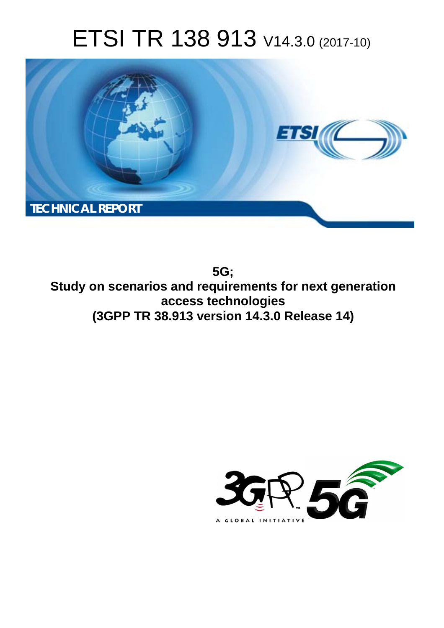# ETSI TR 138 913 V14.3.0 (2017-10)



**5G; Study on scenarios and requirements for next generation access technologies (3GPP TR 38.913 version 14.3.0 Release 14)** 

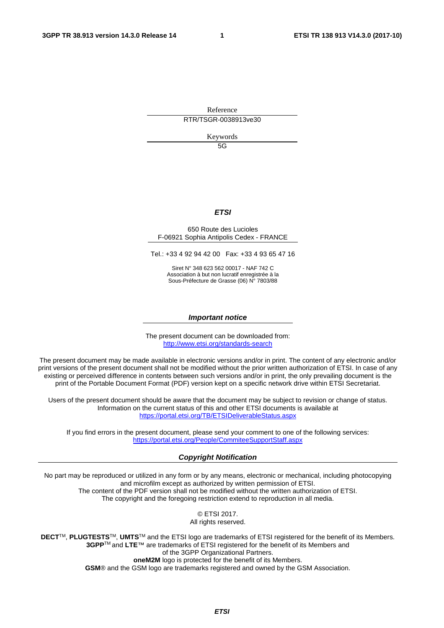Reference RTR/TSGR-0038913ve30

Keywords

 $5G$ 

#### *ETSI*

#### 650 Route des Lucioles F-06921 Sophia Antipolis Cedex - FRANCE

Tel.: +33 4 92 94 42 00 Fax: +33 4 93 65 47 16

Siret N° 348 623 562 00017 - NAF 742 C Association à but non lucratif enregistrée à la Sous-Préfecture de Grasse (06) N° 7803/88

#### *Important notice*

The present document can be downloaded from: <http://www.etsi.org/standards-search>

The present document may be made available in electronic versions and/or in print. The content of any electronic and/or print versions of the present document shall not be modified without the prior written authorization of ETSI. In case of any existing or perceived difference in contents between such versions and/or in print, the only prevailing document is the print of the Portable Document Format (PDF) version kept on a specific network drive within ETSI Secretariat.

Users of the present document should be aware that the document may be subject to revision or change of status. Information on the current status of this and other ETSI documents is available at <https://portal.etsi.org/TB/ETSIDeliverableStatus.aspx>

If you find errors in the present document, please send your comment to one of the following services: <https://portal.etsi.org/People/CommiteeSupportStaff.aspx>

#### *Copyright Notification*

No part may be reproduced or utilized in any form or by any means, electronic or mechanical, including photocopying and microfilm except as authorized by written permission of ETSI. The content of the PDF version shall not be modified without the written authorization of ETSI. The copyright and the foregoing restriction extend to reproduction in all media.

> © ETSI 2017. All rights reserved.

**DECT**TM, **PLUGTESTS**TM, **UMTS**TM and the ETSI logo are trademarks of ETSI registered for the benefit of its Members. **3GPP**TM and **LTE**™ are trademarks of ETSI registered for the benefit of its Members and of the 3GPP Organizational Partners. **oneM2M** logo is protected for the benefit of its Members.

**GSM**® and the GSM logo are trademarks registered and owned by the GSM Association.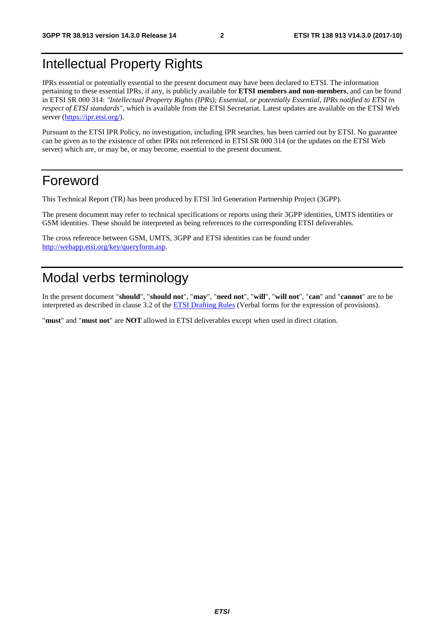# Intellectual Property Rights

IPRs essential or potentially essential to the present document may have been declared to ETSI. The information pertaining to these essential IPRs, if any, is publicly available for **ETSI members and non-members**, and can be found in ETSI SR 000 314: *"Intellectual Property Rights (IPRs); Essential, or potentially Essential, IPRs notified to ETSI in respect of ETSI standards"*, which is available from the ETSI Secretariat. Latest updates are available on the ETSI Web server ([https://ipr.etsi.org/\)](https://ipr.etsi.org/).

Pursuant to the ETSI IPR Policy, no investigation, including IPR searches, has been carried out by ETSI. No guarantee can be given as to the existence of other IPRs not referenced in ETSI SR 000 314 (or the updates on the ETSI Web server) which are, or may be, or may become, essential to the present document.

# Foreword

This Technical Report (TR) has been produced by ETSI 3rd Generation Partnership Project (3GPP).

The present document may refer to technical specifications or reports using their 3GPP identities, UMTS identities or GSM identities. These should be interpreted as being references to the corresponding ETSI deliverables.

The cross reference between GSM, UMTS, 3GPP and ETSI identities can be found under [http://webapp.etsi.org/key/queryform.asp.](http://webapp.etsi.org/key/queryform.asp)

# Modal verbs terminology

In the present document "**should**", "**should not**", "**may**", "**need not**", "**will**", "**will not**", "**can**" and "**cannot**" are to be interpreted as described in clause 3.2 of the [ETSI Drafting Rules](https://portal.etsi.org/Services/editHelp!/Howtostart/ETSIDraftingRules.aspx) (Verbal forms for the expression of provisions).

"**must**" and "**must not**" are **NOT** allowed in ETSI deliverables except when used in direct citation.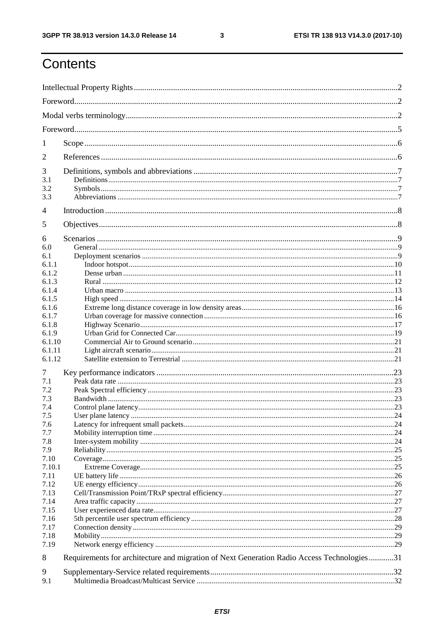ETSI TR 138 913 V14.3.0 (2017-10)

# Contents

| 1              |                                                                                            |  |  |
|----------------|--------------------------------------------------------------------------------------------|--|--|
| $\overline{2}$ |                                                                                            |  |  |
| 3              |                                                                                            |  |  |
| 3.1            |                                                                                            |  |  |
| 3.2            |                                                                                            |  |  |
| 3.3            |                                                                                            |  |  |
| 4              |                                                                                            |  |  |
| 5              |                                                                                            |  |  |
| 6              |                                                                                            |  |  |
| 6.0            |                                                                                            |  |  |
| 6.1            |                                                                                            |  |  |
| 6.1.1          |                                                                                            |  |  |
| 6.1.2          |                                                                                            |  |  |
| 6.1.3          |                                                                                            |  |  |
| 6.1.4          |                                                                                            |  |  |
| 6.1.5<br>6.1.6 |                                                                                            |  |  |
| 6.1.7          |                                                                                            |  |  |
| 6.1.8          |                                                                                            |  |  |
| 6.1.9          |                                                                                            |  |  |
| 6.1.10         |                                                                                            |  |  |
| 6.1.11         |                                                                                            |  |  |
| 6.1.12         |                                                                                            |  |  |
| 7              |                                                                                            |  |  |
| 7.1            |                                                                                            |  |  |
| 7.2            |                                                                                            |  |  |
| 7.3            |                                                                                            |  |  |
| 7.4            |                                                                                            |  |  |
| 7.5            |                                                                                            |  |  |
| 7.6            |                                                                                            |  |  |
| 7.7            |                                                                                            |  |  |
| 7.8            |                                                                                            |  |  |
| 7.9            |                                                                                            |  |  |
| 7.10           |                                                                                            |  |  |
| 7.10.1         |                                                                                            |  |  |
| 7.11           |                                                                                            |  |  |
| 7.12<br>7.13   |                                                                                            |  |  |
| 7.14           |                                                                                            |  |  |
| 7.15           |                                                                                            |  |  |
| 7.16           |                                                                                            |  |  |
| 7.17           |                                                                                            |  |  |
| 7.18           |                                                                                            |  |  |
| 7.19           |                                                                                            |  |  |
| 8              | Requirements for architecture and migration of Next Generation Radio Access Technologies31 |  |  |
| 9              |                                                                                            |  |  |
| 9.1            |                                                                                            |  |  |
|                |                                                                                            |  |  |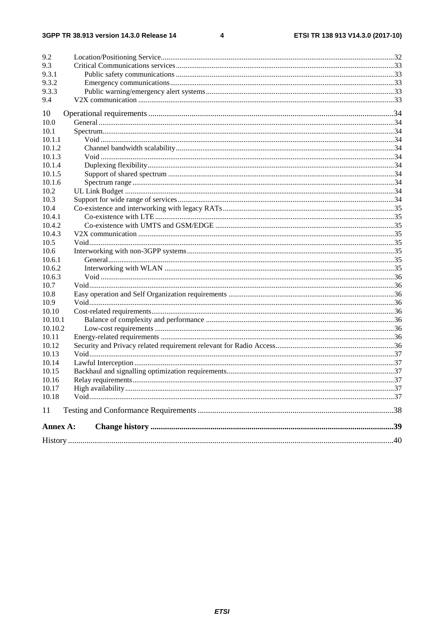$\overline{\mathbf{4}}$ 

| 9.2      |  |
|----------|--|
| 9.3      |  |
| 9.3.1    |  |
| 9.3.2    |  |
| 9.3.3    |  |
| 9.4      |  |
| 10       |  |
| 10.0     |  |
| 10.1     |  |
| 10.1.1   |  |
| 10.1.2   |  |
| 10.1.3   |  |
| 10.1.4   |  |
| 10.1.5   |  |
| 10.1.6   |  |
| 10.2     |  |
| 10.3     |  |
| 10.4     |  |
| 10.4.1   |  |
| 10.4.2   |  |
| 10.4.3   |  |
| 10.5     |  |
| 10.6     |  |
| 10.6.1   |  |
| 10.6.2   |  |
| 10.6.3   |  |
| 10.7     |  |
| 10.8     |  |
| 10.9     |  |
| 10.10    |  |
| 10.10.1  |  |
| 10.10.2  |  |
| 10.11    |  |
| 10.12    |  |
| 10.13    |  |
| 10.14    |  |
| 10.15    |  |
| 10.16    |  |
| 10.17    |  |
| 10.18    |  |
| 11       |  |
| Annex A: |  |
|          |  |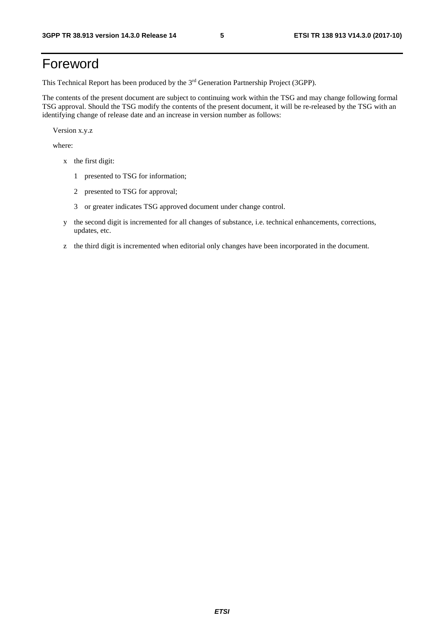# Foreword

This Technical Report has been produced by the 3rd Generation Partnership Project (3GPP).

The contents of the present document are subject to continuing work within the TSG and may change following formal TSG approval. Should the TSG modify the contents of the present document, it will be re-released by the TSG with an identifying change of release date and an increase in version number as follows:

Version x.y.z

where:

- x the first digit:
	- 1 presented to TSG for information;
	- 2 presented to TSG for approval;
	- 3 or greater indicates TSG approved document under change control.
- y the second digit is incremented for all changes of substance, i.e. technical enhancements, corrections, updates, etc.
- z the third digit is incremented when editorial only changes have been incorporated in the document.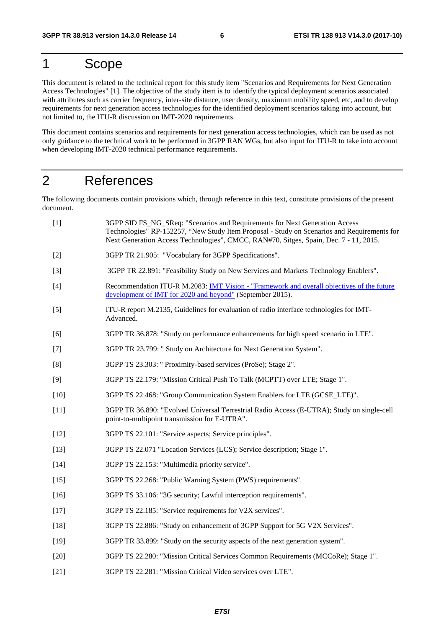### 1 Scope

This document is related to the technical report for this study item "Scenarios and Requirements for Next Generation Access Technologies" [1]. The objective of the study item is to identify the typical deployment scenarios associated with attributes such as carrier frequency, inter-site distance, user density, maximum mobility speed, etc, and to develop requirements for next generation access technologies for the identified deployment scenarios taking into account, but not limited to, the ITU-R discussion on IMT-2020 requirements.

This document contains scenarios and requirements for next generation access technologies, which can be used as not only guidance to the technical work to be performed in 3GPP RAN WGs, but also input for ITU-R to take into account when developing IMT-2020 technical performance requirements.

# 2 References

The following documents contain provisions which, through reference in this text, constitute provisions of the present document.

| $[1]$  | 3GPP SID FS_NG_SReq: "Scenarios and Requirements for Next Generation Access<br>Technologies" RP-152257, "New Study Item Proposal - Study on Scenarios and Requirements for<br>Next Generation Access Technologies", CMCC, RAN#70, Sitges, Spain, Dec. 7 - 11, 2015. |
|--------|---------------------------------------------------------------------------------------------------------------------------------------------------------------------------------------------------------------------------------------------------------------------|
| $[2]$  | 3GPP TR 21.905: "Vocabulary for 3GPP Specifications".                                                                                                                                                                                                               |
| $[3]$  | 3GPP TR 22.891: "Feasibility Study on New Services and Markets Technology Enablers".                                                                                                                                                                                |
| $[4]$  | Recommendation ITU-R M.2083: IMT Vision - "Framework and overall objectives of the future<br>development of IMT for 2020 and beyond" (September 2015).                                                                                                              |
| $[5]$  | ITU-R report M.2135, Guidelines for evaluation of radio interface technologies for IMT-<br>Advanced.                                                                                                                                                                |
| [6]    | 3GPP TR 36.878: "Study on performance enhancements for high speed scenario in LTE".                                                                                                                                                                                 |
| $[7]$  | 3GPP TR 23.799: " Study on Architecture for Next Generation System".                                                                                                                                                                                                |
| [8]    | 3GPP TS 23.303: " Proximity-based services (ProSe); Stage 2".                                                                                                                                                                                                       |
| [9]    | 3GPP TS 22.179: "Mission Critical Push To Talk (MCPTT) over LTE; Stage 1".                                                                                                                                                                                          |
| $[10]$ | 3GPP TS 22.468: "Group Communication System Enablers for LTE (GCSE_LTE)".                                                                                                                                                                                           |
| $[11]$ | 3GPP TR 36.890: "Evolved Universal Terrestrial Radio Access (E-UTRA); Study on single-cell<br>point-to-multipoint transmission for E-UTRA".                                                                                                                         |
| $[12]$ | 3GPP TS 22.101: "Service aspects; Service principles".                                                                                                                                                                                                              |
| $[13]$ | 3GPP TS 22.071 "Location Services (LCS); Service description; Stage 1".                                                                                                                                                                                             |
| $[14]$ | 3GPP TS 22.153: "Multimedia priority service".                                                                                                                                                                                                                      |
| $[15]$ | 3GPP TS 22.268: "Public Warning System (PWS) requirements".                                                                                                                                                                                                         |
| $[16]$ | 3GPP TS 33.106: "3G security; Lawful interception requirements".                                                                                                                                                                                                    |
| $[17]$ | 3GPP TS 22.185: "Service requirements for V2X services".                                                                                                                                                                                                            |
| $[18]$ | 3GPP TS 22.886: "Study on enhancement of 3GPP Support for 5G V2X Services".                                                                                                                                                                                         |
| $[19]$ | 3GPP TR 33.899: "Study on the security aspects of the next generation system".                                                                                                                                                                                      |
| $[20]$ | 3GPP TS 22.280: "Mission Critical Services Common Requirements (MCCoRe); Stage 1".                                                                                                                                                                                  |
| $[21]$ | 3GPP TS 22.281: "Mission Critical Video services over LTE".                                                                                                                                                                                                         |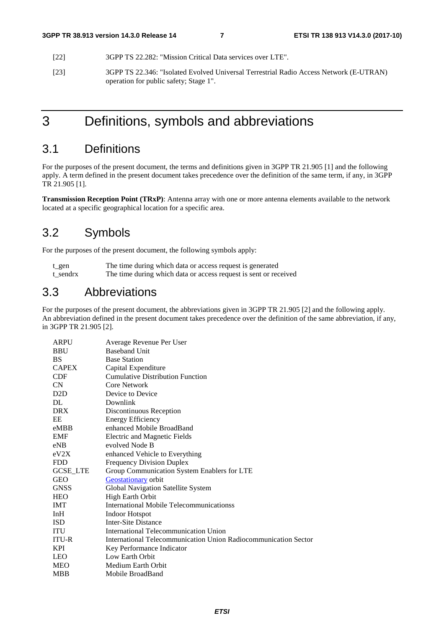- [22] 3GPP TS 22.282: "Mission Critical Data services over LTE".
- [23] 3GPP TS 22.346: "Isolated Evolved Universal Terrestrial Radio Access Network (E-UTRAN) operation for public safety; Stage 1".

3 Definitions, symbols and abbreviations

# 3.1 Definitions

For the purposes of the present document, the terms and definitions given in 3GPP TR 21.905 [1] and the following apply. A term defined in the present document takes precedence over the definition of the same term, if any, in 3GPP TR 21.905 [1].

**Transmission Reception Point (TRxP)**: Antenna array with one or more antenna elements available to the network located at a specific geographical location for a specific area.

### 3.2 Symbols

For the purposes of the present document, the following symbols apply:

| t gen    | The time during which data or access request is generated        |
|----------|------------------------------------------------------------------|
| t sendrx | The time during which data or access request is sent or received |

### 3.3 Abbreviations

For the purposes of the present document, the abbreviations given in 3GPP TR 21.905 [2] and the following apply. An abbreviation defined in the present document takes precedence over the definition of the same abbreviation, if any, in 3GPP TR 21.905 [2].

| <b>ARPU</b>     | Average Revenue Per User                                        |
|-----------------|-----------------------------------------------------------------|
| <b>BBU</b>      | <b>Baseband Unit</b>                                            |
| <b>BS</b>       | <b>Base Station</b>                                             |
| <b>CAPEX</b>    | Capital Expenditure                                             |
| <b>CDF</b>      | <b>Cumulative Distribution Function</b>                         |
| <b>CN</b>       | Core Network                                                    |
| D2D             | Device to Device                                                |
| DL.             | Downlink                                                        |
| <b>DRX</b>      | Discontinuous Reception                                         |
| EE              | <b>Energy Efficiency</b>                                        |
| eMBB            | enhanced Mobile BroadBand                                       |
| <b>EMF</b>      | <b>Electric and Magnetic Fields</b>                             |
| eNB             | evolved Node B                                                  |
| eV2X            | enhanced Vehicle to Everything                                  |
| <b>FDD</b>      | <b>Frequency Division Duplex</b>                                |
| <b>GCSE_LTE</b> | Group Communication System Enablers for LTE                     |
| <b>GEO</b>      | Geostationary orbit                                             |
| <b>GNSS</b>     | Global Navigation Satellite System                              |
| <b>HEO</b>      | <b>High Earth Orbit</b>                                         |
| <b>IMT</b>      | International Mobile Telecommunicationss                        |
| InH             | Indoor Hotspot                                                  |
| ISD.            | Inter-Site Distance                                             |
| <b>ITU</b>      | <b>International Telecommunication Union</b>                    |
| <b>ITU-R</b>    | International Telecommunication Union Radiocommunication Sector |
| KPI.            | Key Performance Indicator                                       |
| <b>LEO</b>      | Low Earth Orbit                                                 |
| <b>MEO</b>      | Medium Earth Orbit                                              |
| <b>MBB</b>      | Mobile BroadBand                                                |
|                 |                                                                 |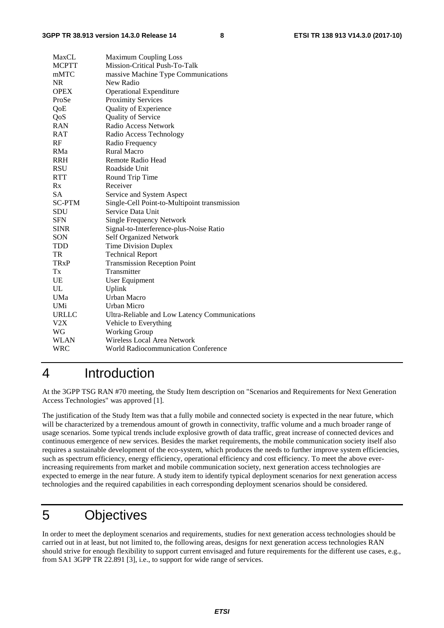| MaxCL                  | <b>Maximum Coupling Loss</b>                  |
|------------------------|-----------------------------------------------|
| <b>MCPTT</b>           | Mission-Critical Push-To-Talk                 |
| mMTC                   | massive Machine Type Communications           |
| <b>NR</b>              | New Radio                                     |
| <b>OPEX</b>            | <b>Operational Expenditure</b>                |
| ProSe                  | <b>Proximity Services</b>                     |
| QoE                    | Quality of Experience                         |
| QoS                    | Quality of Service                            |
| <b>RAN</b>             | Radio Access Network                          |
| RAT                    | Radio Access Technology                       |
| RF                     | Radio Frequency                               |
| RMa                    | Rural Macro                                   |
| <b>RRH</b>             | Remote Radio Head                             |
| <b>RSU</b>             | Roadside Unit                                 |
| <b>RTT</b>             | Round Trip Time                               |
| Rx                     | Receiver                                      |
| <b>SA</b>              | Service and System Aspect                     |
| <b>SC-PTM</b>          | Single-Cell Point-to-Multipoint transmission  |
| <b>SDU</b>             | Service Data Unit                             |
| <b>SFN</b>             | <b>Single Frequency Network</b>               |
| <b>SINR</b>            | Signal-to-Interference-plus-Noise Ratio       |
| SON                    | <b>Self Organized Network</b>                 |
| <b>TDD</b>             | <b>Time Division Duplex</b>                   |
| TR                     | <b>Technical Report</b>                       |
| <b>TR<sub>x</sub>P</b> | <b>Transmission Reception Point</b>           |
| Tx                     | Transmitter                                   |
| <b>UE</b>              | User Equipment                                |
| UL                     | Uplink                                        |
| <b>UMa</b>             | <b>Urban Macro</b>                            |
| UMi                    | <b>Urban Micro</b>                            |
| <b>URLLC</b>           | Ultra-Reliable and Low Latency Communications |
| V2X                    | Vehicle to Everything                         |
| WG                     | <b>Working Group</b>                          |
| <b>WLAN</b>            | Wireless Local Area Network                   |
| WRC                    | <b>World Radiocommunication Conference</b>    |

# 4 Introduction

At the 3GPP TSG RAN #70 meeting, the Study Item description on "Scenarios and Requirements for Next Generation Access Technologies" was approved [1].

The justification of the Study Item was that a fully mobile and connected society is expected in the near future, which will be characterized by a tremendous amount of growth in connectivity, traffic volume and a much broader range of usage scenarios. Some typical trends include explosive growth of data traffic, great increase of connected devices and continuous emergence of new services. Besides the market requirements, the mobile communication society itself also requires a sustainable development of the eco-system, which produces the needs to further improve system efficiencies, such as spectrum efficiency, energy efficiency, operational efficiency and cost efficiency. To meet the above everincreasing requirements from market and mobile communication society, next generation access technologies are expected to emerge in the near future. A study item to identify typical deployment scenarios for next generation access technologies and the required capabilities in each corresponding deployment scenarios should be considered.

# 5 Objectives

In order to meet the deployment scenarios and requirements, studies for next generation access technologies should be carried out in at least, but not limited to, the following areas, designs for next generation access technologies RAN should strive for enough flexibility to support current envisaged and future requirements for the different use cases, e.g., from SA1 3GPP TR 22.891 [3], i.e., to support for wide range of services.

*ETSI*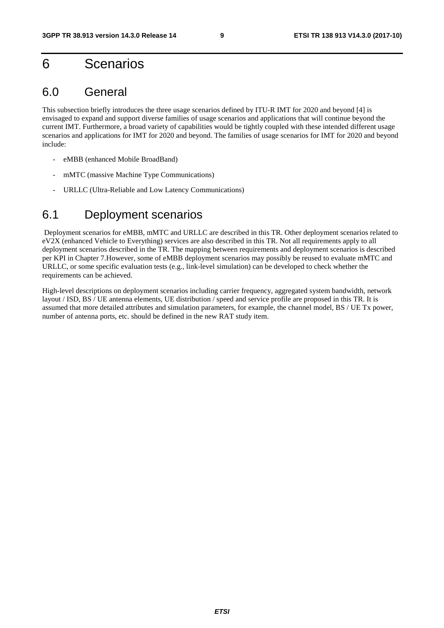# 6 Scenarios

### 6.0 General

This subsection briefly introduces the three usage scenarios defined by ITU-R IMT for 2020 and beyond [4] is envisaged to expand and support diverse families of usage scenarios and applications that will continue beyond the current IMT. Furthermore, a broad variety of capabilities would be tightly coupled with these intended different usage scenarios and applications for IMT for 2020 and beyond. The families of usage scenarios for IMT for 2020 and beyond include:

- eMBB (enhanced Mobile BroadBand)
- mMTC (massive Machine Type Communications)
- URLLC (Ultra-Reliable and Low Latency Communications)

### 6.1 Deployment scenarios

 Deployment scenarios for eMBB, mMTC and URLLC are described in this TR. Other deployment scenarios related to eV2X (enhanced Vehicle to Everything) services are also described in this TR. Not all requirements apply to all deployment scenarios described in the TR. The mapping between requirements and deployment scenarios is described per KPI in Chapter 7.However, some of eMBB deployment scenarios may possibly be reused to evaluate mMTC and URLLC, or some specific evaluation tests (e.g., link-level simulation) can be developed to check whether the requirements can be achieved.

High-level descriptions on deployment scenarios including carrier frequency, aggregated system bandwidth, network layout / ISD, BS / UE antenna elements, UE distribution / speed and service profile are proposed in this TR. It is assumed that more detailed attributes and simulation parameters, for example, the channel model, BS / UE Tx power, number of antenna ports, etc. should be defined in the new RAT study item.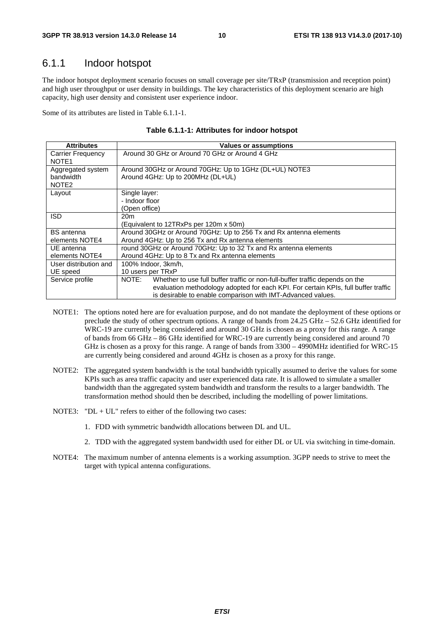### 6.1.1 Indoor hotspot

The indoor hotspot deployment scenario focuses on small coverage per site/TRxP (transmission and reception point) and high user throughput or user density in buildings. The key characteristics of this deployment scenario are high capacity, high user density and consistent user experience indoor.

Some of its attributes are listed in Table 6.1.1-1.

|  |  | Table 6.1.1-1: Attributes for indoor hotspot |
|--|--|----------------------------------------------|
|--|--|----------------------------------------------|

| <b>Attributes</b>                                   | <b>Values or assumptions</b>                                                                                                                                                                                                               |
|-----------------------------------------------------|--------------------------------------------------------------------------------------------------------------------------------------------------------------------------------------------------------------------------------------------|
| <b>Carrier Frequency</b><br>NOTE <sub>1</sub>       | Around 30 GHz or Around 70 GHz or Around 4 GHz                                                                                                                                                                                             |
| Aggregated system<br>bandwidth<br>NOTE <sub>2</sub> | Around 30GHz or Around 70GHz: Up to 1GHz (DL+UL) NOTE3<br>Around 4GHz: Up to 200MHz (DL+UL)                                                                                                                                                |
| Layout                                              | Single layer:<br>- Indoor floor<br>(Open office)                                                                                                                                                                                           |
| <b>ISD</b>                                          | 20 <sub>m</sub><br>(Equivalent to 12TRxPs per 120m x 50m)                                                                                                                                                                                  |
| <b>BS</b> antenna<br>elements NOTE4                 | Around 30GHz or Around 70GHz: Up to 256 Tx and Rx antenna elements<br>Around 4GHz: Up to 256 Tx and Rx antenna elements                                                                                                                    |
| UE antenna<br>elements NOTE4                        | round 30GHz or Around 70GHz: Up to 32 Tx and Rx antenna elements<br>Around 4GHz: Up to 8 Tx and Rx antenna elements                                                                                                                        |
| User distribution and<br>UE speed                   | 100% Indoor, 3km/h,<br>10 users per TRxP                                                                                                                                                                                                   |
| Service profile                                     | NOTE:<br>Whether to use full buffer traffic or non-full-buffer traffic depends on the<br>evaluation methodology adopted for each KPI. For certain KPIs, full buffer traffic<br>is desirable to enable comparison with IMT-Advanced values. |

- NOTE1: The options noted here are for evaluation purpose, and do not mandate the deployment of these options or preclude the study of other spectrum options. A range of bands from 24.25 GHz – 52.6 GHz identified for WRC-19 are currently being considered and around 30 GHz is chosen as a proxy for this range. A range of bands from 66 GHz – 86 GHz identified for WRC-19 are currently being considered and around 70 GHz is chosen as a proxy for this range. A range of bands from 3300 – 4990MHz identified for WRC-15 are currently being considered and around 4GHz is chosen as a proxy for this range.
- NOTE2: The aggregated system bandwidth is the total bandwidth typically assumed to derive the values for some KPIs such as area traffic capacity and user experienced data rate. It is allowed to simulate a smaller bandwidth than the aggregated system bandwidth and transform the results to a larger bandwidth. The transformation method should then be described, including the modelling of power limitations.
- NOTE3: " $DL + UL$ " refers to either of the following two cases:
	- 1. FDD with symmetric bandwidth allocations between DL and UL.
	- 2. TDD with the aggregated system bandwidth used for either DL or UL via switching in time-domain.
- NOTE4: The maximum number of antenna elements is a working assumption. 3GPP needs to strive to meet the target with typical antenna configurations.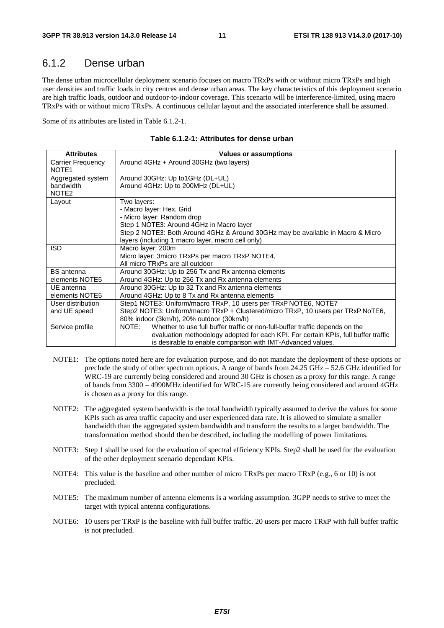### 6.1.2 Dense urban

The dense urban microcellular deployment scenario focuses on macro TRxPs with or without micro TRxPs and high user densities and traffic loads in city centres and dense urban areas. The key characteristics of this deployment scenario are high traffic loads, outdoor and outdoor-to-indoor coverage. This scenario will be interference-limited, using macro TRxPs with or without micro TRxPs. A continuous cellular layout and the associated interference shall be assumed.

Some of its attributes are listed in Table 6.1.2-1.

| <b>Attributes</b>                      | <b>Values or assumptions</b>                                                                                                 |
|----------------------------------------|------------------------------------------------------------------------------------------------------------------------------|
| Carrier Frequency<br>NOTE <sub>1</sub> | Around 4GHz + Around 30GHz (two layers)                                                                                      |
| Aggregated system<br>bandwidth         | Around 30GHz: Up to1GHz (DL+UL)<br>Around 4GHz: Up to 200MHz (DL+UL)                                                         |
| NOTE <sub>2</sub>                      |                                                                                                                              |
| Layout                                 | Two layers:                                                                                                                  |
|                                        | - Macro layer: Hex. Grid                                                                                                     |
|                                        | - Micro layer: Random drop                                                                                                   |
|                                        | Step 1 NOTE3: Around 4GHz in Macro layer                                                                                     |
|                                        | Step 2 NOTE3: Both Around 4GHz & Around 30GHz may be available in Macro & Micro                                              |
|                                        | layers (including 1 macro layer, macro cell only)                                                                            |
| <b>ISD</b>                             | Macro layer: 200m                                                                                                            |
|                                        | Micro layer: 3micro TRxPs per macro TRxP NOTE4,<br>All micro TRxPs are all outdoor                                           |
|                                        |                                                                                                                              |
| <b>BS</b> antenna<br>elements NOTE5    | Around 30GHz: Up to 256 Tx and Rx antenna elements<br>Around 4GHz: Up to 256 Tx and Rx antenna elements                      |
| UE antenna                             | Around 30GHz: Up to 32 Tx and Rx antenna elements                                                                            |
| elements NOTE5                         | Around 4GHz: Up to 8 Tx and Rx antenna elements                                                                              |
| User distribution                      | Step1 NOTE3: Uniform/macro TRxP, 10 users per TRxP NOTE6, NOTE7                                                              |
|                                        |                                                                                                                              |
| and UE speed                           | Step2 NOTE3: Uniform/macro TRxP + Clustered/micro TRxP, 10 users per TRxP NoTE6,<br>80% indoor (3km/h), 20% outdoor (30km/h) |
|                                        | NOTE:                                                                                                                        |
| Service profile                        | Whether to use full buffer traffic or non-full-buffer traffic depends on the                                                 |
|                                        | evaluation methodology adopted for each KPI. For certain KPIs, full buffer traffic                                           |
|                                        | is desirable to enable comparison with IMT-Advanced values.                                                                  |

| Table 6.1.2-1: Attributes for dense urban |  |
|-------------------------------------------|--|
|-------------------------------------------|--|

- NOTE1: The options noted here are for evaluation purpose, and do not mandate the deployment of these options or preclude the study of other spectrum options. A range of bands from 24.25 GHz – 52.6 GHz identified for WRC-19 are currently being considered and around 30 GHz is chosen as a proxy for this range. A range of bands from 3300 – 4990MHz identified for WRC-15 are currently being considered and around 4GHz is chosen as a proxy for this range.
- NOTE2: The aggregated system bandwidth is the total bandwidth typically assumed to derive the values for some KPIs such as area traffic capacity and user experienced data rate. It is allowed to simulate a smaller bandwidth than the aggregated system bandwidth and transform the results to a larger bandwidth. The transformation method should then be described, including the modelling of power limitations.
- NOTE3: Step 1 shall be used for the evaluation of spectral efficiency KPIs. Step2 shall be used for the evaluation of the other deployment scenario dependant KPIs.
- NOTE4: This value is the baseline and other number of micro TRxPs per macro TRxP (e.g., 6 or 10) is not precluded.
- NOTE5: The maximum number of antenna elements is a working assumption. 3GPP needs to strive to meet the target with typical antenna configurations.
- NOTE6: 10 users per TRxP is the baseline with full buffer traffic. 20 users per macro TRxP with full buffer traffic is not precluded.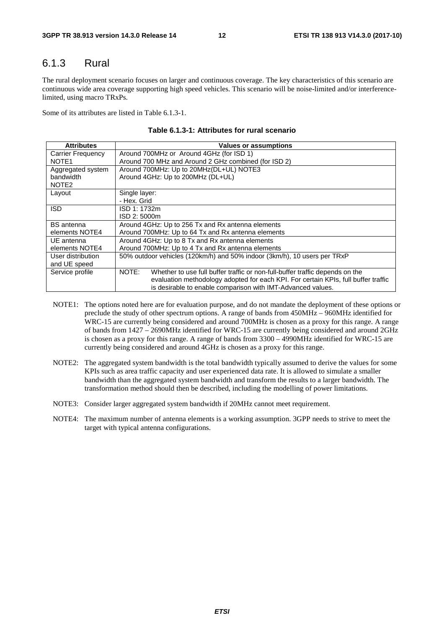### 6.1.3 Rural

The rural deployment scenario focuses on larger and continuous coverage. The key characteristics of this scenario are continuous wide area coverage supporting high speed vehicles. This scenario will be noise-limited and/or interferencelimited, using macro TRxPs.

Some of its attributes are listed in Table 6.1.3-1.

| <b>Attributes</b>        | <b>Values or assumptions</b>                                                          |
|--------------------------|---------------------------------------------------------------------------------------|
| <b>Carrier Frequency</b> | Around 700MHz or Around 4GHz (for ISD 1)                                              |
| NOTE <sub>1</sub>        | Around 700 MHz and Around 2 GHz combined (for ISD 2)                                  |
| Aggregated system        | Around 700MHz: Up to 20MHz(DL+UL) NOTE3                                               |
| bandwidth                | Around 4GHz: Up to 200MHz (DL+UL)                                                     |
| NOTE <sub>2</sub>        |                                                                                       |
| Layout                   | Single layer:                                                                         |
|                          | - Hex. Grid                                                                           |
| <b>ISD</b>               | ISD 1: 1732m                                                                          |
|                          | ISD 2:5000m                                                                           |
| <b>BS</b> antenna        | Around 4GHz: Up to 256 Tx and Rx antenna elements                                     |
| elements NOTE4           | Around 700MHz: Up to 64 Tx and Rx antenna elements                                    |
| UE antenna               | Around 4GHz: Up to 8 Tx and Rx antenna elements                                       |
| elements NOTE4           | Around 700MHz: Up to 4 Tx and Rx antenna elements                                     |
| User distribution        | 50% outdoor vehicles (120km/h) and 50% indoor (3km/h), 10 users per TRxP              |
| and UE speed             |                                                                                       |
| Service profile          | NOTE:<br>Whether to use full buffer traffic or non-full-buffer traffic depends on the |
|                          | evaluation methodology adopted for each KPI. For certain KPIs, full buffer traffic    |
|                          | is desirable to enable comparison with IMT-Advanced values.                           |

**Table 6.1.3-1: Attributes for rural scenario** 

- NOTE1: The options noted here are for evaluation purpose, and do not mandate the deployment of these options or preclude the study of other spectrum options. A range of bands from 450MHz – 960MHz identified for WRC-15 are currently being considered and around 700MHz is chosen as a proxy for this range. A range of bands from 1427 – 2690MHz identified for WRC-15 are currently being considered and around 2GHz is chosen as a proxy for this range. A range of bands from 3300 – 4990MHz identified for WRC-15 are currently being considered and around 4GHz is chosen as a proxy for this range.
- NOTE2: The aggregated system bandwidth is the total bandwidth typically assumed to derive the values for some KPIs such as area traffic capacity and user experienced data rate. It is allowed to simulate a smaller bandwidth than the aggregated system bandwidth and transform the results to a larger bandwidth. The transformation method should then be described, including the modelling of power limitations.
- NOTE3: Consider larger aggregated system bandwidth if 20MHz cannot meet requirement.
- NOTE4: The maximum number of antenna elements is a working assumption. 3GPP needs to strive to meet the target with typical antenna configurations.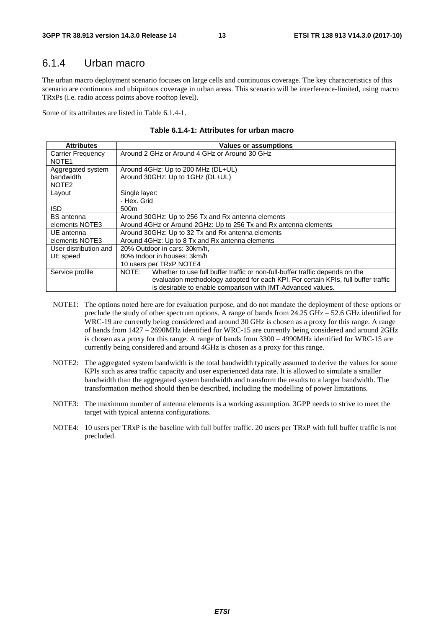### 6.1.4 Urban macro

The urban macro deployment scenario focuses on large cells and continuous coverage. The key characteristics of this scenario are continuous and ubiquitous coverage in urban areas. This scenario will be interference-limited, using macro TRxPs (i.e. radio access points above rooftop level).

Some of its attributes are listed in Table 6.1.4-1.

| <b>Attributes</b>        | Values or assumptions                                                                 |
|--------------------------|---------------------------------------------------------------------------------------|
| <b>Carrier Frequency</b> | Around 2 GHz or Around 4 GHz or Around 30 GHz                                         |
| NOTE <sub>1</sub>        |                                                                                       |
| Aggregated system        | Around 4GHz: Up to 200 MHz (DL+UL)                                                    |
| bandwidth                | Around 30GHz: Up to 1GHz (DL+UL)                                                      |
| NOTE <sub>2</sub>        |                                                                                       |
| Layout                   | Single layer:                                                                         |
|                          | - Hex. Grid                                                                           |
| <b>ISD</b>               | 500 <sub>m</sub>                                                                      |
| <b>BS</b> antenna        | Around 30GHz: Up to 256 Tx and Rx antenna elements                                    |
| elements NOTE3           | Around 4GHz or Around 2GHz: Up to 256 Tx and Rx antenna elements                      |
| UE antenna               | Around 30GHz: Up to 32 Tx and Rx antenna elements                                     |
| elements NOTE3           | Around 4GHz: Up to 8 Tx and Rx antenna elements                                       |
| User distribution and    | 20% Outdoor in cars: 30km/h.                                                          |
| UE speed                 | 80% Indoor in houses: 3km/h                                                           |
|                          | 10 users per TRxP NOTE4                                                               |
| Service profile          | NOTE:<br>Whether to use full buffer traffic or non-full-buffer traffic depends on the |
|                          | evaluation methodology adopted for each KPI. For certain KPIs, full buffer traffic    |
|                          | is desirable to enable comparison with IMT-Advanced values.                           |

|  |  | Table 6.1.4-1: Attributes for urban macro |
|--|--|-------------------------------------------|
|--|--|-------------------------------------------|

- NOTE1: The options noted here are for evaluation purpose, and do not mandate the deployment of these options or preclude the study of other spectrum options. A range of bands from 24.25 GHz – 52.6 GHz identified for WRC-19 are currently being considered and around 30 GHz is chosen as a proxy for this range. A range of bands from 1427 – 2690MHz identified for WRC-15 are currently being considered and around 2GHz is chosen as a proxy for this range. A range of bands from 3300 – 4990MHz identified for WRC-15 are currently being considered and around 4GHz is chosen as a proxy for this range.
- NOTE2: The aggregated system bandwidth is the total bandwidth typically assumed to derive the values for some KPIs such as area traffic capacity and user experienced data rate. It is allowed to simulate a smaller bandwidth than the aggregated system bandwidth and transform the results to a larger bandwidth. The transformation method should then be described, including the modelling of power limitations.
- NOTE3: The maximum number of antenna elements is a working assumption. 3GPP needs to strive to meet the target with typical antenna configurations.
- NOTE4: 10 users per TRxP is the baseline with full buffer traffic. 20 users per TRxP with full buffer traffic is not precluded.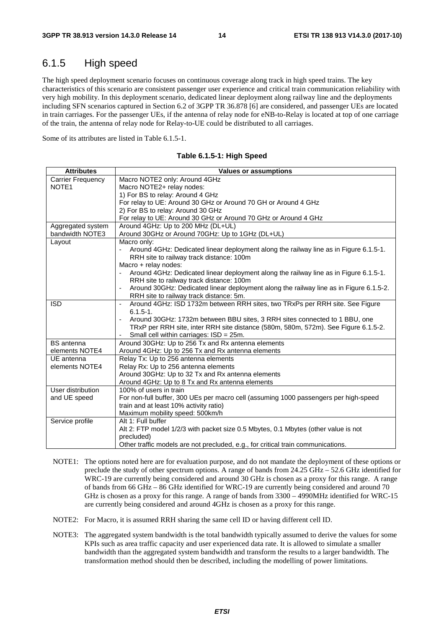### 6.1.5 High speed

The high speed deployment scenario focuses on continuous coverage along track in high speed trains. The key characteristics of this scenario are consistent passenger user experience and critical train communication reliability with very high mobility. In this deployment scenario, dedicated linear deployment along railway line and the deployments including SFN scenarios captured in Section 6.2 of 3GPP TR 36.878 [6] are considered, and passenger UEs are located in train carriages. For the passenger UEs, if the antenna of relay node for eNB-to-Relay is located at top of one carriage of the train, the antenna of relay node for Relay-to-UE could be distributed to all carriages.

Some of its attributes are listed in Table 6.1.5-1.

| <b>Attributes</b>        | <b>Values or assumptions</b>                                                                   |
|--------------------------|------------------------------------------------------------------------------------------------|
| <b>Carrier Frequency</b> | Macro NOTE2 only: Around 4GHz                                                                  |
| NOTE1                    | Macro NOTE2+ relay nodes:                                                                      |
|                          | 1) For BS to relay: Around 4 GHz                                                               |
|                          | For relay to UE: Around 30 GHz or Around 70 GH or Around 4 GHz                                 |
|                          | 2) For BS to relay: Around 30 GHz                                                              |
|                          | For relay to UE: Around 30 GHz or Around 70 GHz or Around 4 GHz                                |
| Aggregated system        | Around 4GHz: Up to 200 MHz (DL+UL)                                                             |
| bandwidth NOTE3          | Around 30GHz or Around 70GHz: Up to 1GHz (DL+UL)                                               |
| Layout                   | Macro only:                                                                                    |
|                          | Around 4GHz: Dedicated linear deployment along the railway line as in Figure 6.1.5-1.          |
|                          | RRH site to railway track distance: 100m                                                       |
|                          | Macro + relay nodes:                                                                           |
|                          | Around 4GHz: Dedicated linear deployment along the railway line as in Figure 6.1.5-1.          |
|                          | RRH site to railway track distance: 100m                                                       |
|                          | Around 30GHz: Dedicated linear deployment along the railway line as in Figure 6.1.5-2.         |
|                          | RRH site to railway track distance: 5m.                                                        |
| <b>ISD</b>               | Around 4GHz: ISD 1732m between RRH sites, two TRxPs per RRH site. See Figure<br>$\blacksquare$ |
|                          | $6.1.5 - 1.$                                                                                   |
|                          | Around 30GHz: 1732m between BBU sites, 3 RRH sites connected to 1 BBU, one<br>$\blacksquare$   |
|                          | TRxP per RRH site, inter RRH site distance (580m, 580m, 572m). See Figure 6.1.5-2.             |
|                          | Small cell within carriages: ISD = 25m.                                                        |
| <b>BS</b> antenna        | Around 30GHz: Up to 256 Tx and Rx antenna elements                                             |
| elements NOTE4           | Around 4GHz: Up to 256 Tx and Rx antenna elements                                              |
| UE antenna               | Relay Tx: Up to 256 antenna elements                                                           |
| elements NOTE4           | Relay Rx: Up to 256 antenna elements                                                           |
|                          | Around 30GHz: Up to 32 Tx and Rx antenna elements                                              |
|                          | Around 4GHz: Up to 8 Tx and Rx antenna elements                                                |
| User distribution        | 100% of users in train                                                                         |
| and UE speed             | For non-full buffer, 300 UEs per macro cell (assuming 1000 passengers per high-speed           |
|                          | train and at least 10% activity ratio)                                                         |
|                          | Maximum mobility speed: 500km/h                                                                |
| Service profile          | Alt 1: Full buffer                                                                             |
|                          | Alt 2: FTP model 1/2/3 with packet size 0.5 Mbytes, 0.1 Mbytes (other value is not             |
|                          | precluded)                                                                                     |
|                          | Other traffic models are not precluded, e.g., for critical train communications.               |

#### **Table 6.1.5-1: High Speed**

- NOTE1: The options noted here are for evaluation purpose, and do not mandate the deployment of these options or preclude the study of other spectrum options. A range of bands from 24.25 GHz – 52.6 GHz identified for WRC-19 are currently being considered and around 30 GHz is chosen as a proxy for this range. A range of bands from 66 GHz – 86 GHz identified for WRC-19 are currently being considered and around 70 GHz is chosen as a proxy for this range. A range of bands from 3300 – 4990MHz identified for WRC-15 are currently being considered and around 4GHz is chosen as a proxy for this range.
- NOTE2: For Macro, it is assumed RRH sharing the same cell ID or having different cell ID.
- NOTE3: The aggregated system bandwidth is the total bandwidth typically assumed to derive the values for some KPIs such as area traffic capacity and user experienced data rate. It is allowed to simulate a smaller bandwidth than the aggregated system bandwidth and transform the results to a larger bandwidth. The transformation method should then be described, including the modelling of power limitations.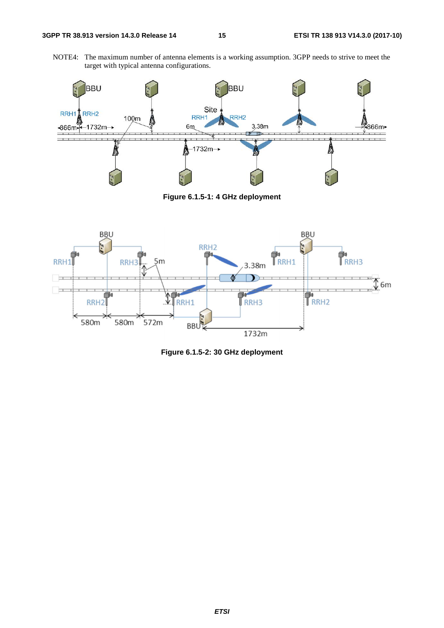NOTE4: The maximum number of antenna elements is a working assumption. 3GPP needs to strive to meet the target with typical antenna configurations.



**Figure 6.1.5-1: 4 GHz deployment** 



**Figure 6.1.5-2: 30 GHz deployment**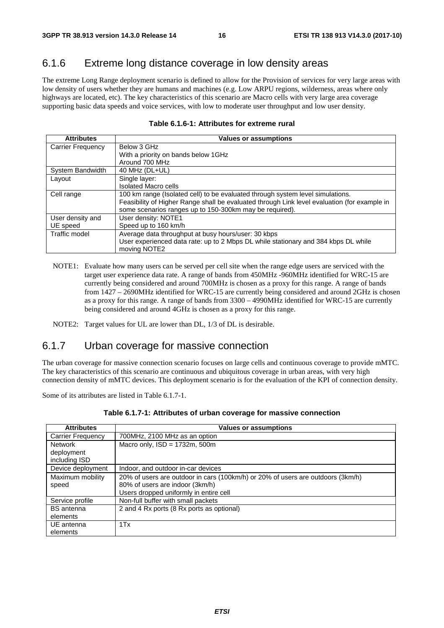### 6.1.6 Extreme long distance coverage in low density areas

The extreme Long Range deployment scenario is defined to allow for the Provision of services for very large areas with low density of users whether they are humans and machines (e.g. Low ARPU regions, wilderness, areas where only highways are located, etc). The key characteristics of this scenario are Macro cells with very large area coverage supporting basic data speeds and voice services, with low to moderate user throughput and low user density.

| <b>Attributes</b>        | <b>Values or assumptions</b>                                                                 |
|--------------------------|----------------------------------------------------------------------------------------------|
| <b>Carrier Frequency</b> | Below 3 GHz                                                                                  |
|                          | With a priority on bands below 1GHz                                                          |
|                          | Around 700 MHz                                                                               |
| System Bandwidth         | 40 MHz (DL+UL)                                                                               |
| Layout                   | Single layer:                                                                                |
|                          | <b>Isolated Macro cells</b>                                                                  |
| Cell range               | 100 km range (Isolated cell) to be evaluated through system level simulations.               |
|                          | Feasibility of Higher Range shall be evaluated through Link level evaluation (for example in |
|                          | some scenarios ranges up to 150-300km may be required).                                      |
| User density and         | User density: NOTE1                                                                          |
| UE speed                 | Speed up to 160 km/h                                                                         |
| Traffic model            | Average data throughput at busy hours/user: 30 kbps                                          |
|                          | User experienced data rate: up to 2 Mbps DL while stationary and 384 kbps DL while           |
|                          | moving NOTE2                                                                                 |

#### **Table 6.1.6-1: Attributes for extreme rural**

NOTE1: Evaluate how many users can be served per cell site when the range edge users are serviced with the target user experience data rate. A range of bands from 450MHz -960MHz identified for WRC-15 are currently being considered and around 700MHz is chosen as a proxy for this range. A range of bands from 1427 – 2690MHz identified for WRC-15 are currently being considered and around 2GHz is chosen as a proxy for this range. A range of bands from 3300 – 4990MHz identified for WRC-15 are currently being considered and around 4GHz is chosen as a proxy for this range.

NOTE2: Target values for UL are lower than DL, 1/3 of DL is desirable.

#### 6.1.7 Urban coverage for massive connection

The urban coverage for massive connection scenario focuses on large cells and continuous coverage to provide mMTC. The key characteristics of this scenario are continuous and ubiquitous coverage in urban areas, with very high connection density of mMTC devices. This deployment scenario is for the evaluation of the KPI of connection density.

Some of its attributes are listed in Table 6.1.7-1.

| <b>Attributes</b>        | <b>Values or assumptions</b>                                                    |
|--------------------------|---------------------------------------------------------------------------------|
| <b>Carrier Frequency</b> | 700MHz, 2100 MHz as an option                                                   |
| <b>Network</b>           | Macro only, $ISD = 1732m$ , 500m                                                |
| deployment               |                                                                                 |
| including ISD            |                                                                                 |
| Device deployment        | Indoor, and outdoor in-car devices                                              |
| Maximum mobility         | 20% of users are outdoor in cars (100km/h) or 20% of users are outdoors (3km/h) |
| speed                    | 80% of users are indoor (3km/h)                                                 |
|                          | Users dropped uniformly in entire cell                                          |
| Service profile          | Non-full buffer with small packets                                              |
| <b>BS</b> antenna        | 2 and 4 Rx ports (8 Rx ports as optional)                                       |
| elements                 |                                                                                 |
| UE antenna               | 1Tx                                                                             |
| elements                 |                                                                                 |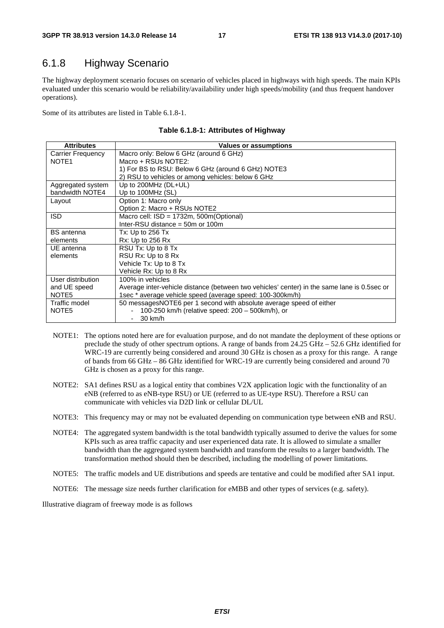### 6.1.8 Highway Scenario

The highway deployment scenario focuses on scenario of vehicles placed in highways with high speeds. The main KPIs evaluated under this scenario would be reliability/availability under high speeds/mobility (and thus frequent handover operations).

Some of its attributes are listed in Table 6.1.8-1.

| <b>Attributes</b> | Values or assumptions                                                                       |
|-------------------|---------------------------------------------------------------------------------------------|
| Carrier Frequency | Macro only: Below 6 GHz (around 6 GHz)                                                      |
| NOTE <sub>1</sub> | Macro + RSUs NOTE2:                                                                         |
|                   | 1) For BS to RSU: Below 6 GHz (around 6 GHz) NOTE3                                          |
|                   | 2) RSU to vehicles or among vehicles: below 6 GHz                                           |
| Aggregated system | Up to $200MHz$ ( $DL+UL$ )                                                                  |
| bandwidth NOTE4   | Up to 100MHz (SL)                                                                           |
| Layout            | Option 1: Macro only                                                                        |
|                   | Option 2: Macro + RSUs NOTE2                                                                |
| <b>ISD</b>        | Macro cell: $ISD = 1732m$ , 500m(Optional)                                                  |
|                   | Inter-RSU distance $=$ 50m or 100m                                                          |
| <b>BS</b> antenna | Tx: Up to $256$ Tx                                                                          |
| elements          | Rx: Up to 256 Rx                                                                            |
| UE antenna        | RSU Tx: Up to 8 Tx                                                                          |
| elements          | RSU Rx: Up to 8 Rx                                                                          |
|                   | Vehicle Tx: Up to 8 Tx                                                                      |
|                   | Vehicle Rx: Up to 8 Rx                                                                      |
| User distribution | 100% in vehicles                                                                            |
| and UE speed      | Average inter-vehicle distance (between two vehicles' center) in the same lane is 0.5sec or |
| NOTE <sub>5</sub> | 1sec * average vehicle speed (average speed: 100-300km/h)                                   |
| Traffic model     | 50 messagesNOTE6 per 1 second with absolute average speed of either                         |
| NOTE <sub>5</sub> | 100-250 km/h (relative speed: 200 – 500 km/h), or                                           |
|                   | 30 km/h                                                                                     |

| Table 6.1.8-1: Attributes of Highway |  |
|--------------------------------------|--|
|--------------------------------------|--|

- NOTE1: The options noted here are for evaluation purpose, and do not mandate the deployment of these options or preclude the study of other spectrum options. A range of bands from 24.25 GHz – 52.6 GHz identified for WRC-19 are currently being considered and around 30 GHz is chosen as a proxy for this range. A range of bands from 66 GHz – 86 GHz identified for WRC-19 are currently being considered and around 70 GHz is chosen as a proxy for this range.
- NOTE2: SA1 defines RSU as a logical entity that combines V2X application logic with the functionality of an eNB (referred to as eNB-type RSU) or UE (referred to as UE-type RSU). Therefore a RSU can communicate with vehicles via D2D link or cellular DL/UL
- NOTE3: This frequency may or may not be evaluated depending on communication type between eNB and RSU.
- NOTE4: The aggregated system bandwidth is the total bandwidth typically assumed to derive the values for some KPIs such as area traffic capacity and user experienced data rate. It is allowed to simulate a smaller bandwidth than the aggregated system bandwidth and transform the results to a larger bandwidth. The transformation method should then be described, including the modelling of power limitations.
- NOTE5: The traffic models and UE distributions and speeds are tentative and could be modified after SA1 input.
- NOTE6: The message size needs further clarification for eMBB and other types of services (e.g. safety).

Illustrative diagram of freeway mode is as follows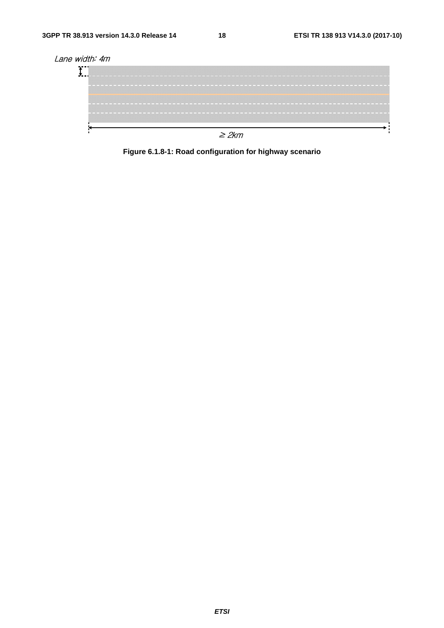

**Figure 6.1.8-1: Road configuration for highway scenario**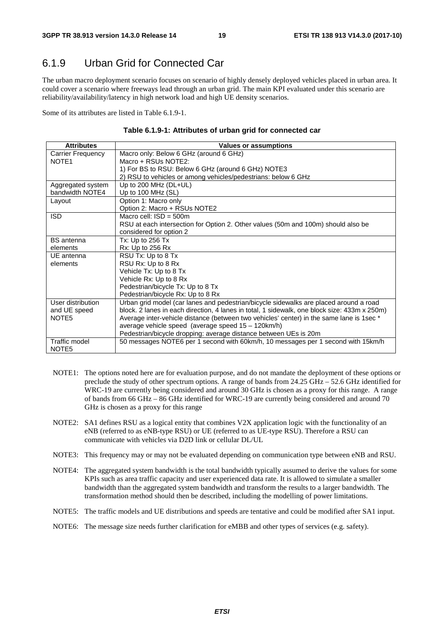### 6.1.9 Urban Grid for Connected Car

The urban macro deployment scenario focuses on scenario of highly densely deployed vehicles placed in urban area. It could cover a scenario where freeways lead through an urban grid. The main KPI evaluated under this scenario are reliability/availability/latency in high network load and high UE density scenarios.

Some of its attributes are listed in Table 6.1.9-1.

|  |  | Table 6.1.9-1: Attributes of urban grid for connected car |  |
|--|--|-----------------------------------------------------------|--|
|--|--|-----------------------------------------------------------|--|

| <b>Attributes</b>        | <b>Values or assumptions</b>                                                                 |
|--------------------------|----------------------------------------------------------------------------------------------|
| <b>Carrier Frequency</b> | Macro only: Below 6 GHz (around 6 GHz)                                                       |
| NOTE <sub>1</sub>        | Macro + RSUs NOTE2:                                                                          |
|                          | 1) For BS to RSU: Below 6 GHz (around 6 GHz) NOTE3                                           |
|                          | 2) RSU to vehicles or among vehicles/pedestrians: below 6 GHz                                |
| Aggregated system        | Up to 200 MHz (DL+UL)                                                                        |
| bandwidth NOTE4          | Up to 100 MHz (SL)                                                                           |
| Layout                   | Option 1: Macro only                                                                         |
|                          | Option 2: Macro + RSUs NOTE2                                                                 |
| <b>ISD</b>               | Macro cell: $ISD = 500m$                                                                     |
|                          | RSU at each intersection for Option 2. Other values (50m and 100m) should also be            |
|                          | considered for option 2                                                                      |
| <b>BS</b> antenna        | Tx: Up to 256 Tx                                                                             |
| elements                 | Rx: Up to 256 Rx                                                                             |
| UE antenna               | RSU Tx: Up to 8 Tx                                                                           |
| elements                 | RSU Rx: Up to 8 Rx                                                                           |
|                          | Vehicle Tx: Up to 8 Tx                                                                       |
|                          | Vehicle Rx: Up to 8 Rx                                                                       |
|                          | Pedestrian/bicycle Tx: Up to 8 Tx                                                            |
|                          | Pedestrian/bicycle Rx: Up to 8 Rx                                                            |
| User distribution        | Urban grid model (car lanes and pedestrian/bicycle sidewalks are placed around a road        |
| and UE speed             | block. 2 lanes in each direction, 4 lanes in total, 1 sidewalk, one block size: 433m x 250m) |
| NOTE <sub>5</sub>        | Average inter-vehicle distance (between two vehicles' center) in the same lane is 1sec *     |
|                          | average vehicle speed (average speed 15 - 120km/h)                                           |
|                          | Pedestrian/bicycle dropping: average distance between UEs is 20m                             |
| Traffic model            | 50 messages NOTE6 per 1 second with 60km/h, 10 messages per 1 second with 15km/h             |
| NOTE <sub>5</sub>        |                                                                                              |

- NOTE1: The options noted here are for evaluation purpose, and do not mandate the deployment of these options or preclude the study of other spectrum options. A range of bands from 24.25 GHz – 52.6 GHz identified for WRC-19 are currently being considered and around 30 GHz is chosen as a proxy for this range. A range of bands from 66 GHz – 86 GHz identified for WRC-19 are currently being considered and around 70 GHz is chosen as a proxy for this range
- NOTE2: SA1 defines RSU as a logical entity that combines V2X application logic with the functionality of an eNB (referred to as eNB-type RSU) or UE (referred to as UE-type RSU). Therefore a RSU can communicate with vehicles via D2D link or cellular DL/UL
- NOTE3: This frequency may or may not be evaluated depending on communication type between eNB and RSU.
- NOTE4: The aggregated system bandwidth is the total bandwidth typically assumed to derive the values for some KPIs such as area traffic capacity and user experienced data rate. It is allowed to simulate a smaller bandwidth than the aggregated system bandwidth and transform the results to a larger bandwidth. The transformation method should then be described, including the modelling of power limitations.
- NOTE5: The traffic models and UE distributions and speeds are tentative and could be modified after SA1 input.
- NOTE6: The message size needs further clarification for eMBB and other types of services (e.g. safety).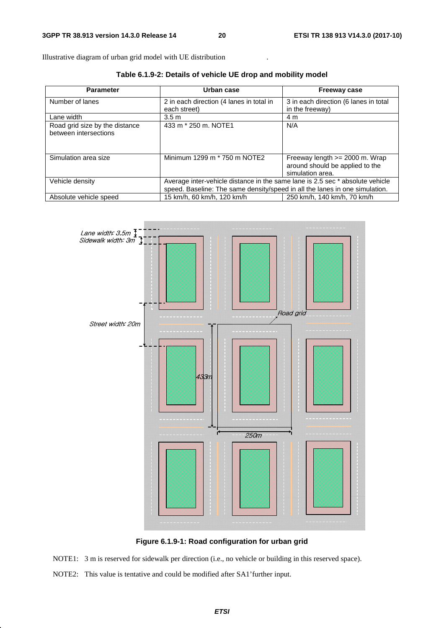Illustrative diagram of urban grid model with UE distribution

**Table 6.1.9-2: Details of vehicle UE drop and mobility model** 

| <b>Parameter</b>                                        | Urban case                                                                    | <b>Freeway case</b>                                                                     |
|---------------------------------------------------------|-------------------------------------------------------------------------------|-----------------------------------------------------------------------------------------|
| Number of lanes                                         | 2 in each direction (4 lanes in total in<br>each street)                      | 3 in each direction (6 lanes in total<br>in the freeway)                                |
| Lane width                                              | 3.5 <sub>m</sub>                                                              | 4 m                                                                                     |
| Road grid size by the distance<br>between intersections | 433 m * 250 m. NOTE1                                                          | N/A                                                                                     |
| Simulation area size                                    | Minimum 1299 m * 750 m NOTE2                                                  | Freeway length $>= 2000$ m. Wrap<br>around should be applied to the<br>simulation area. |
| Vehicle density                                         | Average inter-vehicle distance in the same lane is 2.5 sec * absolute vehicle |                                                                                         |
|                                                         | speed. Baseline: The same density/speed in all the lanes in one simulation.   |                                                                                         |
| Absolute vehicle speed                                  | 15 km/h, 60 km/h, 120 km/h                                                    | 250 km/h, 140 km/h, 70 km/h                                                             |



**Figure 6.1.9-1: Road configuration for urban grid** 

NOTE1: 3 m is reserved for sidewalk per direction (i.e., no vehicle or building in this reserved space).

NOTE2: This value is tentative and could be modified after SA1'further input.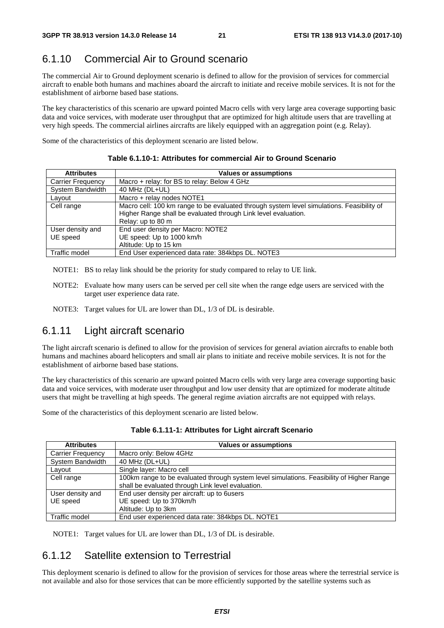# 6.1.10 Commercial Air to Ground scenario

The commercial Air to Ground deployment scenario is defined to allow for the provision of services for commercial aircraft to enable both humans and machines aboard the aircraft to initiate and receive mobile services. It is not for the establishment of airborne based base stations.

The key characteristics of this scenario are upward pointed Macro cells with very large area coverage supporting basic data and voice services, with moderate user throughput that are optimized for high altitude users that are travelling at very high speeds. The commercial airlines aircrafts are likely equipped with an aggregation point (e.g. Relay).

Some of the characteristics of this deployment scenario are listed below.

| <b>Attributes</b>        | <b>Values or assumptions</b>                                                                                                                                |
|--------------------------|-------------------------------------------------------------------------------------------------------------------------------------------------------------|
| <b>Carrier Frequency</b> | Macro + relay: for BS to relay: Below 4 GHz                                                                                                                 |
| System Bandwidth         | 40 MHz (DL+UL)                                                                                                                                              |
| Layout                   | Macro + relay nodes NOTE1                                                                                                                                   |
| Cell range               | Macro cell: 100 km range to be evaluated through system level simulations. Feasibility of<br>Higher Range shall be evaluated through Link level evaluation. |
|                          | Relay: up to 80 m                                                                                                                                           |
| User density and         | End user density per Macro: NOTE2                                                                                                                           |
| UE speed                 | UE speed: Up to 1000 km/h                                                                                                                                   |
|                          | Altitude: Up to 15 km                                                                                                                                       |
| Traffic model            | End User experienced data rate: 384kbps DL. NOTE3                                                                                                           |

**Table 6.1.10-1: Attributes for commercial Air to Ground Scenario** 

- NOTE1: BS to relay link should be the priority for study compared to relay to UE link.
- NOTE2: Evaluate how many users can be served per cell site when the range edge users are serviced with the target user experience data rate.
- NOTE3: Target values for UL are lower than DL, 1/3 of DL is desirable.

### 6.1.11 Light aircraft scenario

The light aircraft scenario is defined to allow for the provision of services for general aviation aircrafts to enable both humans and machines aboard helicopters and small air plans to initiate and receive mobile services. It is not for the establishment of airborne based base stations.

The key characteristics of this scenario are upward pointed Macro cells with very large area coverage supporting basic data and voice services, with moderate user throughput and low user density that are optimized for moderate altitude users that might be travelling at high speeds. The general regime aviation aircrafts are not equipped with relays.

Some of the characteristics of this deployment scenario are listed below.

| <b>Attributes</b>        | <b>Values or assumptions</b>                                                              |
|--------------------------|-------------------------------------------------------------------------------------------|
| <b>Carrier Frequency</b> | Macro only: Below 4GHz                                                                    |
| System Bandwidth         | 40 MHz (DL+UL)                                                                            |
| Layout                   | Single layer: Macro cell                                                                  |
| Cell range               | 100km range to be evaluated through system level simulations. Feasibility of Higher Range |
|                          | shall be evaluated through Link level evaluation.                                         |
| User density and         | End user density per aircraft: up to 6users                                               |
| UE speed                 | UE speed: Up to 370km/h                                                                   |
|                          | Altitude: Up to 3km                                                                       |
| Traffic model            | End user experienced data rate: 384kbps DL. NOTE1                                         |

**Table 6.1.11-1: Attributes for Light aircraft Scenario** 

NOTE1: Target values for UL are lower than DL, 1/3 of DL is desirable.

### 6.1.12 Satellite extension to Terrestrial

This deployment scenario is defined to allow for the provision of services for those areas where the terrestrial service is not available and also for those services that can be more efficiently supported by the satellite systems such as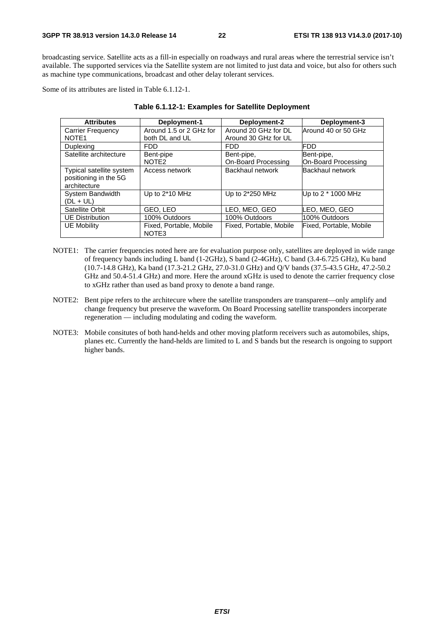broadcasting service. Satellite acts as a fill-in especially on roadways and rural areas where the terrestrial service isn't available. The supported services via the Satellite system are not limited to just data and voice, but also for others such as machine type communications, broadcast and other delay tolerant services.

Some of its attributes are listed in Table 6.1.12-1.

| <b>Attributes</b>                                                 | Deployment-1                     | Deployment-2            | Deployment-3            |
|-------------------------------------------------------------------|----------------------------------|-------------------------|-------------------------|
| Carrier Frequency                                                 | Around 1.5 or 2 GHz for          | Around 20 GHz for DL    | Around 40 or 50 GHz     |
| NOTE <sub>1</sub>                                                 | both DL and UL                   | Around 30 GHz for UL    |                         |
| Duplexing                                                         | <b>FDD</b>                       | <b>FDD</b>              | <b>FDD</b>              |
| Satellite architecture                                            | Bent-pipe                        | Bent-pipe,              | Bent-pipe,              |
|                                                                   | NOTE <sub>2</sub>                | On-Board Processing     | On-Board Processing     |
| Typical satellite system<br>positioning in the 5G<br>architecture | Access network                   | Backhaul network        | <b>Backhaul network</b> |
| System Bandwidth<br>$(DL + UL)$                                   | Up to 2*10 MHz                   | Up to 2*250 MHz         | Up to $2 * 1000$ MHz    |
| Satellite Orbit                                                   | GEO, LEO                         | LEO, MEO, GEO           | LEO, MEO, GEO           |
| <b>UE Distribution</b>                                            | 100% Outdoors                    | 100% Outdoors           | 100% Outdoors           |
| <b>UE Mobility</b>                                                | Fixed, Portable, Mobile<br>NOTE3 | Fixed, Portable, Mobile | Fixed, Portable, Mobile |

#### **Table 6.1.12-1: Examples for Satellite Deployment**

- NOTE1: The carrier frequencies noted here are for evaluation purpose only, satellites are deployed in wide range of frequency bands including L band (1-2GHz), S band (2-4GHz), C band (3.4-6.725 GHz), Ku band (10.7-14.8 GHz), Ka band (17.3-21.2 GHz, 27.0-31.0 GHz) and Q/V bands (37.5-43.5 GHz, 47.2-50.2 GHz and 50.4-51.4 GHz) and more. Here the around xGHz is used to denote the carrier frequency close to xGHz rather than used as band proxy to denote a band range.
- NOTE2: Bent pipe refers to the architecure where the satellite transponders are transparent—only amplify and change frequency but preserve the waveform. On Board Processing satellite transponders incorperate regeneration — including modulating and coding the waveform.
- NOTE3: Mobile consitutes of both hand-helds and other moving platform receivers such as automobiles, ships, planes etc. Currently the hand-helds are limited to L and S bands but the research is ongoing to support higher bands.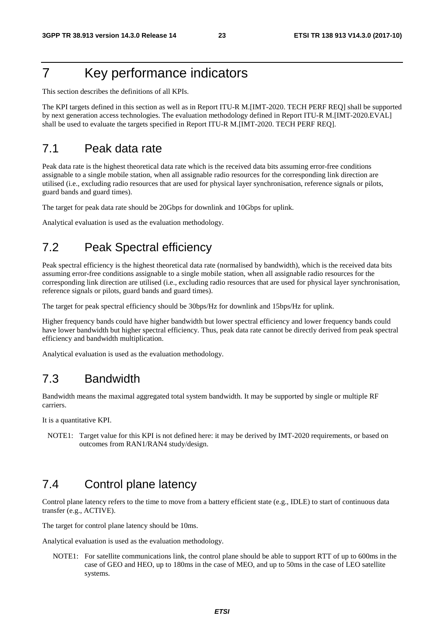# 7 Key performance indicators

This section describes the definitions of all KPIs.

The KPI targets defined in this section as well as in Report ITU-R M.[IMT-2020. TECH PERF REQ] shall be supported by next generation access technologies. The evaluation methodology defined in Report ITU-R M.[IMT-2020.EVAL] shall be used to evaluate the targets specified in Report ITU-R M.[IMT-2020. TECH PERF REQ].

### 7.1 Peak data rate

Peak data rate is the highest theoretical data rate which is the received data bits assuming error-free conditions assignable to a single mobile station, when all assignable radio resources for the corresponding link direction are utilised (i.e., excluding radio resources that are used for physical layer synchronisation, reference signals or pilots, guard bands and guard times).

The target for peak data rate should be 20Gbps for downlink and 10Gbps for uplink.

Analytical evaluation is used as the evaluation methodology.

### 7.2 Peak Spectral efficiency

Peak spectral efficiency is the highest theoretical data rate (normalised by bandwidth), which is the received data bits assuming error-free conditions assignable to a single mobile station, when all assignable radio resources for the corresponding link direction are utilised (i.e., excluding radio resources that are used for physical layer synchronisation, reference signals or pilots, guard bands and guard times).

The target for peak spectral efficiency should be 30bps/Hz for downlink and 15bps/Hz for uplink.

Higher frequency bands could have higher bandwidth but lower spectral efficiency and lower frequency bands could have lower bandwidth but higher spectral efficiency. Thus, peak data rate cannot be directly derived from peak spectral efficiency and bandwidth multiplication.

Analytical evaluation is used as the evaluation methodology.

### 7.3 Bandwidth

Bandwidth means the maximal aggregated total system bandwidth. It may be supported by single or multiple RF carriers.

It is a quantitative KPI.

NOTE1: Target value for this KPI is not defined here: it may be derived by IMT-2020 requirements, or based on outcomes from RAN1/RAN4 study/design.

### 7.4 Control plane latency

Control plane latency refers to the time to move from a battery efficient state (e.g., IDLE) to start of continuous data transfer (e.g., ACTIVE).

The target for control plane latency should be 10ms.

Analytical evaluation is used as the evaluation methodology.

NOTE1: For satellite communications link, the control plane should be able to support RTT of up to 600ms in the case of GEO and HEO, up to 180ms in the case of MEO, and up to 50ms in the case of LEO satellite systems.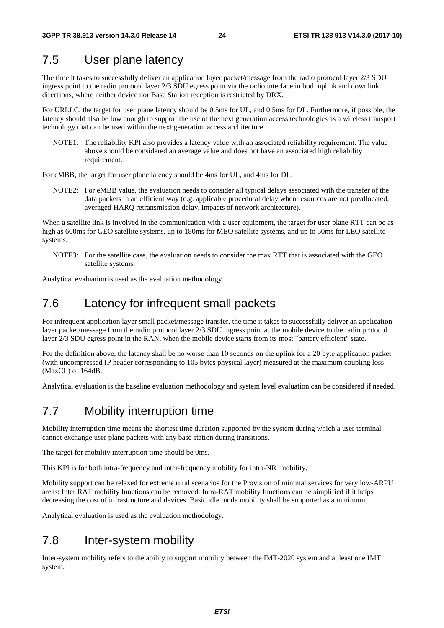### 7.5 User plane latency

The time it takes to successfully deliver an application layer packet/message from the radio protocol layer 2/3 SDU ingress point to the radio protocol layer 2/3 SDU egress point via the radio interface in both uplink and downlink directions, where neither device nor Base Station reception is restricted by DRX.

For URLLC, the target for user plane latency should be 0.5ms for UL, and 0.5ms for DL. Furthermore, if possible, the latency should also be low enough to support the use of the next generation access technologies as a wireless transport technology that can be used within the next generation access architecture.

NOTE1: The reliability KPI also provides a latency value with an associated reliability requirement. The value above should be considered an average value and does not have an associated high reliability requirement.

For eMBB, the target for user plane latency should be 4ms for UL, and 4ms for DL.

NOTE2: For eMBB value, the evaluation needs to consider all typical delays associated with the transfer of the data packets in an efficient way (e.g. applicable procedural delay when resources are not preallocated, averaged HARQ retransmission delay, impacts of network architecture).

When a satellite link is involved in the communication with a user equipment, the target for user plane RTT can be as high as 600ms for GEO satellite systems, up to 180ms for MEO satellite systems, and up to 50ms for LEO satellite systems.

NOTE3: For the satellite case, the evaluation needs to consider the max RTT that is associated with the GEO satellite systems.

Analytical evaluation is used as the evaluation methodology.

### 7.6 Latency for infrequent small packets

For infrequent application layer small packet/message transfer, the time it takes to successfully deliver an application layer packet/message from the radio protocol layer 2/3 SDU ingress point at the mobile device to the radio protocol layer 2/3 SDU egress point in the RAN, when the mobile device starts from its most "battery efficient" state.

For the definition above, the latency shall be no worse than 10 seconds on the uplink for a 20 byte application packet (with uncompressed IP header corresponding to 105 bytes physical layer) measured at the maximum coupling loss (MaxCL) of 164dB.

Analytical evaluation is the baseline evaluation methodology and system level evaluation can be considered if needed.

### 7.7 Mobility interruption time

Mobility interruption time means the shortest time duration supported by the system during which a user terminal cannot exchange user plane packets with any base station during transitions.

The target for mobility interruption time should be 0ms.

This KPI is for both intra-frequency and inter-frequency mobility for intra-NR mobility.

Mobility support can be relaxed for extreme rural scenarios for the Provision of minimal services for very low-ARPU areas: Inter RAT mobility functions can be removed. Intra-RAT mobility functions can be simplified if it helps decreasing the cost of infrastructure and devices. Basic idle mode mobility shall be supported as a minimum.

Analytical evaluation is used as the evaluation methodology.

### 7.8 Inter-system mobility

Inter-system mobility refers to the ability to support mobility between the IMT-2020 system and at least one IMT system.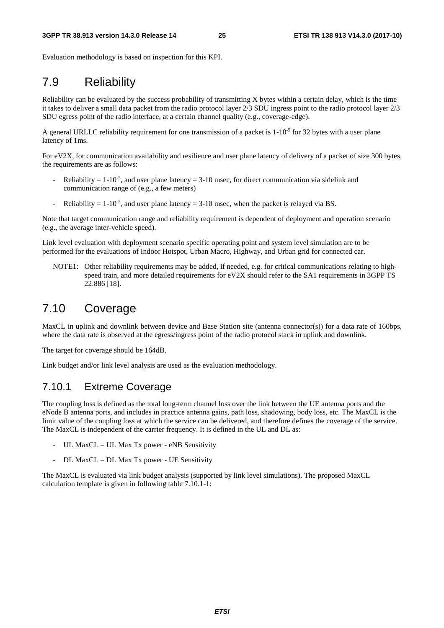Evaluation methodology is based on inspection for this KPI.

# 7.9 Reliability

Reliability can be evaluated by the success probability of transmitting X bytes within a certain delay, which is the time it takes to deliver a small data packet from the radio protocol layer 2/3 SDU ingress point to the radio protocol layer 2/3 SDU egress point of the radio interface, at a certain channel quality (e.g., coverage-edge).

A general URLLC reliability requirement for one transmission of a packet is  $1\textrm{-}10^{-5}$  for 32 bytes with a user plane latency of 1ms.

For eV2X, for communication availability and resilience and user plane latency of delivery of a packet of size 300 bytes, the requirements are as follows:

- Reliability  $= 1\times 10^{-5}$ , and user plane latency  $= 3\times 10$  msec, for direct communication via sidelink and communication range of (e.g., a few meters)
- Reliability =  $1-10^{-5}$ , and user plane latency = 3-10 msec, when the packet is relayed via BS.

Note that target communication range and reliability requirement is dependent of deployment and operation scenario (e.g., the average inter-vehicle speed).

Link level evaluation with deployment scenario specific operating point and system level simulation are to be performed for the evaluations of Indoor Hotspot, Urban Macro, Highway, and Urban grid for connected car.

NOTE1: Other reliability requirements may be added, if needed, e.g. for critical communications relating to highspeed train, and more detailed requirements for eV2X should refer to the SA1 requirements in 3GPP TS 22.886 [18].

### 7.10 Coverage

MaxCL in uplink and downlink between device and Base Station site (antenna connector(s)) for a data rate of 160bps, where the data rate is observed at the egress/ingress point of the radio protocol stack in uplink and downlink.

The target for coverage should be 164dB.

Link budget and/or link level analysis are used as the evaluation methodology.

#### 7.10.1 Extreme Coverage

The coupling loss is defined as the total long-term channel loss over the link between the UE antenna ports and the eNode B antenna ports, and includes in practice antenna gains, path loss, shadowing, body loss, etc. The MaxCL is the limit value of the coupling loss at which the service can be delivered, and therefore defines the coverage of the service. The MaxCL is independent of the carrier frequency. It is defined in the UL and DL as:

- UL Max $CL = UL$  Max Tx power eNB Sensitivity
- DL MaxCL = DL Max Tx power UE Sensitivity

The MaxCL is evaluated via link budget analysis (supported by link level simulations). The proposed MaxCL calculation template is given in following table 7.10.1-1: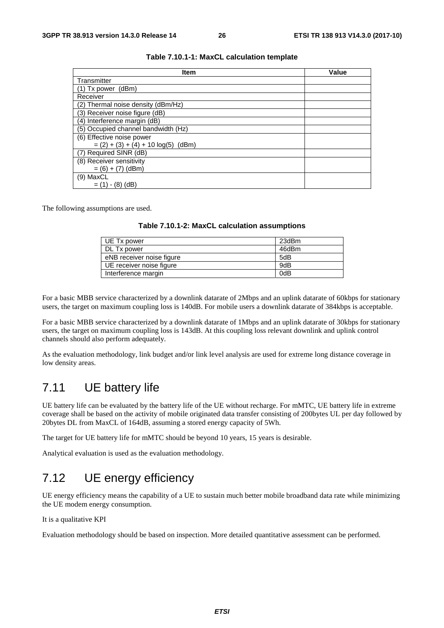| <b>Item</b>                          | Value |  |  |  |
|--------------------------------------|-------|--|--|--|
| Transmitter                          |       |  |  |  |
| $(1)$ Tx power $(dBm)$               |       |  |  |  |
| Receiver                             |       |  |  |  |
| (2) Thermal noise density (dBm/Hz)   |       |  |  |  |
| (3) Receiver noise figure (dB)       |       |  |  |  |
| (4) Interference margin (dB)         |       |  |  |  |
| (5) Occupied channel bandwidth (Hz)  |       |  |  |  |
| (6) Effective noise power            |       |  |  |  |
| $=(2) + (3) + (4) + 10 log(5)$ (dBm) |       |  |  |  |
| (7) Required SINR (dB)               |       |  |  |  |
| (8) Receiver sensitivity             |       |  |  |  |
| $= (6) + (7)$ (dBm)                  |       |  |  |  |
| (9) MaxCL                            |       |  |  |  |
| $= (1) - (8)$ (dB)                   |       |  |  |  |

#### **Table 7.10.1-1: MaxCL calculation template**

The following assumptions are used.

| Table 7.10.1-2: MaxCL calculation assumptions |  |  |
|-----------------------------------------------|--|--|
|-----------------------------------------------|--|--|

| UE Tx power               | 23dBm |
|---------------------------|-------|
| DL Tx power               | 46dBm |
| eNB receiver noise figure | 5dB   |
| UE receiver noise figure  | 9dB   |
| Interference margin       | 0dB   |

For a basic MBB service characterized by a downlink datarate of 2Mbps and an uplink datarate of 60kbps for stationary users, the target on maximum coupling loss is 140dB. For mobile users a downlink datarate of 384kbps is acceptable.

For a basic MBB service characterized by a downlink datarate of 1Mbps and an uplink datarate of 30kbps for stationary users, the target on maximum coupling loss is 143dB. At this coupling loss relevant downlink and uplink control channels should also perform adequately.

As the evaluation methodology, link budget and/or link level analysis are used for extreme long distance coverage in low density areas.

### 7.11 UE battery life

UE battery life can be evaluated by the battery life of the UE without recharge. For mMTC, UE battery life in extreme coverage shall be based on the activity of mobile originated data transfer consisting of 200bytes UL per day followed by 20bytes DL from MaxCL of 164dB, assuming a stored energy capacity of 5Wh.

The target for UE battery life for mMTC should be beyond 10 years, 15 years is desirable.

Analytical evaluation is used as the evaluation methodology.

### 7.12 UE energy efficiency

UE energy efficiency means the capability of a UE to sustain much better mobile broadband data rate while minimizing the UE modem energy consumption.

It is a qualitative KPI

Evaluation methodology should be based on inspection. More detailed quantitative assessment can be performed.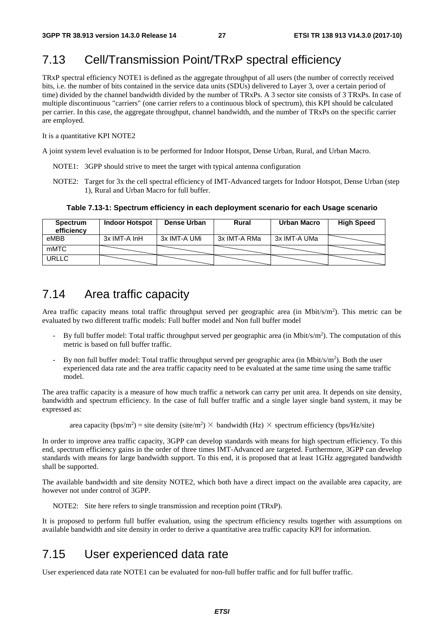### 7.13 Cell/Transmission Point/TRxP spectral efficiency

TRxP spectral efficiency NOTE1 is defined as the aggregate throughput of all users (the number of correctly received bits, i.e. the number of bits contained in the service data units (SDUs) delivered to Layer 3, over a certain period of time) divided by the channel bandwidth divided by the number of TRxPs. A 3 sector site consists of 3 TRxPs. In case of multiple discontinuous "carriers" (one carrier refers to a continuous block of spectrum), this KPI should be calculated per carrier. In this case, the aggregate throughput, channel bandwidth, and the number of TRxPs on the specific carrier are employed.

#### It is a quantitative KPI NOTE2

A joint system level evaluation is to be performed for Indoor Hotspot, Dense Urban, Rural, and Urban Macro.

- NOTE1: 3GPP should strive to meet the target with typical antenna configuration
- NOTE2: Target for 3x the cell spectral efficiency of IMT-Advanced targets for Indoor Hotspot, Dense Urban (step 1), Rural and Urban Macro for full buffer.

**Table 7.13-1: Spectrum efficiency in each deployment scenario for each Usage scenario** 

| <b>Spectrum</b><br>efficiency | <b>Indoor Hotspot</b> | Dense Urban  | <b>Rural</b> | <b>Urban Macro</b> | <b>High Speed</b> |
|-------------------------------|-----------------------|--------------|--------------|--------------------|-------------------|
| eMBB                          | 3x IMT-A InH          | 3x IMT-A UMi | 3x IMT-A RMa | 3x IMT-A UMa       |                   |
| mMTC                          |                       |              |              |                    |                   |
| <b>URLLC</b>                  |                       |              |              |                    |                   |

### 7.14 Area traffic capacity

Area traffic capacity means total traffic throughput served per geographic area (in Mbit/s/m<sup>2</sup>). This metric can be evaluated by two different traffic models: Full buffer model and Non full buffer model

- By full buffer model: Total traffic throughput served per geographic area (in Mbit/s/m<sup>2</sup>). The computation of this metric is based on full buffer traffic.
- By non full buffer model: Total traffic throughput served per geographic area (in Mbit/s/m<sup>2</sup>). Both the user experienced data rate and the area traffic capacity need to be evaluated at the same time using the same traffic model.

The area traffic capacity is a measure of how much traffic a network can carry per unit area. It depends on site density, bandwidth and spectrum efficiency. In the case of full buffer traffic and a single layer single band system, it may be expressed as:

area capacity (bps/m<sup>2</sup>) = site density (site/m<sup>2</sup>) × bandwidth (Hz) × spectrum efficiency (bps/Hz/site)

In order to improve area traffic capacity, 3GPP can develop standards with means for high spectrum efficiency. To this end, spectrum efficiency gains in the order of three times IMT-Advanced are targeted. Furthermore, 3GPP can develop standards with means for large bandwidth support. To this end, it is proposed that at least 1GHz aggregated bandwidth shall be supported.

The available bandwidth and site density NOTE2, which both have a direct impact on the available area capacity, are however not under control of 3GPP.

NOTE2: Site here refers to single transmission and reception point (TRxP).

It is proposed to perform full buffer evaluation, using the spectrum efficiency results together with assumptions on available bandwidth and site density in order to derive a quantitative area traffic capacity KPI for information.

### 7.15 User experienced data rate

User experienced data rate NOTE1 can be evaluated for non-full buffer traffic and for full buffer traffic.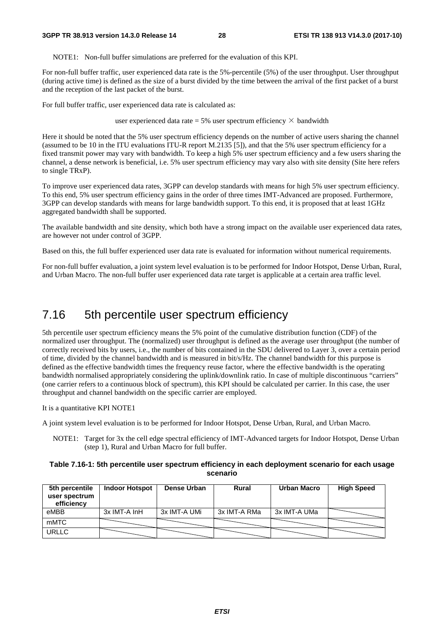NOTE1: Non-full buffer simulations are preferred for the evaluation of this KPI.

For non-full buffer traffic, user experienced data rate is the 5%-percentile (5%) of the user throughput. User throughput (during active time) is defined as the size of a burst divided by the time between the arrival of the first packet of a burst and the reception of the last packet of the burst.

For full buffer traffic, user experienced data rate is calculated as:

user experienced data rate = 5% user spectrum efficiency  $\times$  bandwidth

Here it should be noted that the 5% user spectrum efficiency depends on the number of active users sharing the channel (assumed to be 10 in the ITU evaluations ITU-R report M.2135 [5]), and that the 5% user spectrum efficiency for a fixed transmit power may vary with bandwidth. To keep a high 5% user spectrum efficiency and a few users sharing the channel, a dense network is beneficial, i.e. 5% user spectrum efficiency may vary also with site density (Site here refers to single TRxP).

To improve user experienced data rates, 3GPP can develop standards with means for high 5% user spectrum efficiency. To this end, 5% user spectrum efficiency gains in the order of three times IMT-Advanced are proposed. Furthermore, 3GPP can develop standards with means for large bandwidth support. To this end, it is proposed that at least 1GHz aggregated bandwidth shall be supported.

The available bandwidth and site density, which both have a strong impact on the available user experienced data rates, are however not under control of 3GPP.

Based on this, the full buffer experienced user data rate is evaluated for information without numerical requirements.

For non-full buffer evaluation, a joint system level evaluation is to be performed for Indoor Hotspot, Dense Urban, Rural, and Urban Macro. The non-full buffer user experienced data rate target is applicable at a certain area traffic level.

### 7.16 5th percentile user spectrum efficiency

5th percentile user spectrum efficiency means the 5% point of the cumulative distribution function (CDF) of the normalized user throughput. The (normalized) user throughput is defined as the average user throughput (the number of correctly received bits by users, i.e., the number of bits contained in the SDU delivered to Layer 3, over a certain period of time, divided by the channel bandwidth and is measured in bit/s/Hz. The channel bandwidth for this purpose is defined as the effective bandwidth times the frequency reuse factor, where the effective bandwidth is the operating bandwidth normalised appropriately considering the uplink/downlink ratio. In case of multiple discontinuous "carriers" (one carrier refers to a continuous block of spectrum), this KPI should be calculated per carrier. In this case, the user throughput and channel bandwidth on the specific carrier are employed.

It is a quantitative KPI NOTE1

A joint system level evaluation is to be performed for Indoor Hotspot, Dense Urban, Rural, and Urban Macro.

NOTE1: Target for 3x the cell edge spectral efficiency of IMT-Advanced targets for Indoor Hotspot, Dense Urban (step 1), Rural and Urban Macro for full buffer.

#### **Table 7.16-1: 5th percentile user spectrum efficiency in each deployment scenario for each usage scenario**

| 5th percentile<br>user spectrum<br>efficiency | <b>Indoor Hotspot</b> | Dense Urban  | Rural        | <b>Urban Macro</b> | <b>High Speed</b> |
|-----------------------------------------------|-----------------------|--------------|--------------|--------------------|-------------------|
| eMBB                                          | 3x IMT-A InH          | 3x IMT-A UMi | 3x IMT-A RMa | 3x IMT-A UMa       |                   |
| <b>mMTC</b>                                   |                       |              |              |                    |                   |
| <b>URLLC</b>                                  |                       |              |              |                    |                   |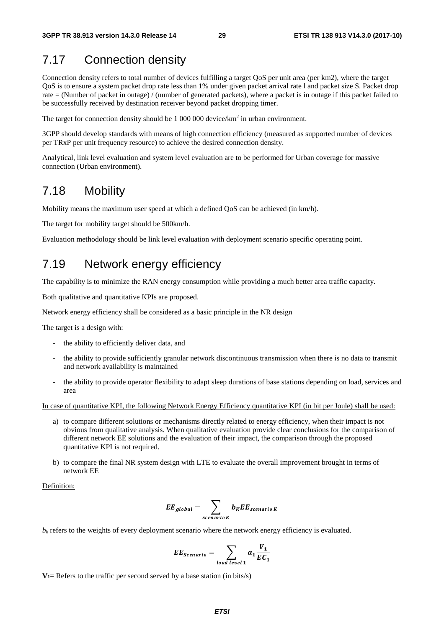# 7.17 Connection density

Connection density refers to total number of devices fulfilling a target QoS per unit area (per km2), where the target QoS is to ensure a system packet drop rate less than 1% under given packet arrival rate l and packet size S. Packet drop rate = (Number of packet in outage) / (number of generated packets), where a packet is in outage if this packet failed to be successfully received by destination receiver beyond packet dropping timer.

The target for connection density should be 1 000 000 device/km<sup>2</sup> in urban environment.

3GPP should develop standards with means of high connection efficiency (measured as supported number of devices per TRxP per unit frequency resource) to achieve the desired connection density.

Analytical, link level evaluation and system level evaluation are to be performed for Urban coverage for massive connection (Urban environment).

### 7.18 Mobility

Mobility means the maximum user speed at which a defined QoS can be achieved (in km/h).

The target for mobility target should be 500km/h.

Evaluation methodology should be link level evaluation with deployment scenario specific operating point.

### 7.19 Network energy efficiency

The capability is to minimize the RAN energy consumption while providing a much better area traffic capacity.

Both qualitative and quantitative KPIs are proposed.

Network energy efficiency shall be considered as a basic principle in the NR design

The target is a design with:

- the ability to efficiently deliver data, and
- the ability to provide sufficiently granular network discontinuous transmission when there is no data to transmit and network availability is maintained
- the ability to provide operator flexibility to adapt sleep durations of base stations depending on load, services and area

In case of quantitative KPI, the following Network Energy Efficiency quantitative KPI (in bit per Joule) shall be used:

- a) to compare different solutions or mechanisms directly related to energy efficiency, when their impact is not obvious from qualitative analysis. When qualitative evaluation provide clear conclusions for the comparison of different network EE solutions and the evaluation of their impact, the comparison through the proposed quantitative KPI is not required.
- b) to compare the final NR system design with LTE to evaluate the overall improvement brought in terms of network EE

Definition:

$$
EE_{global} = \sum_{scenario K} b_{K}EE_{scenario K}
$$

*bk* refers to the weights of every deployment scenario where the network energy efficiency is evaluated.

$$
EE_{Scenario} = \sum_{load level 1} a_1 \frac{V_1}{EC_1}
$$

 $V_1$ = Refers to the traffic per second served by a base station (in bits/s)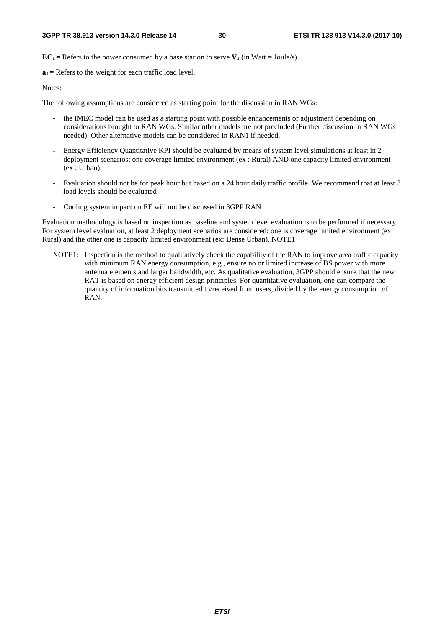**EC<sub>1</sub>** = Refers to the power consumed by a base station to serve  $V_1$  (in Watt = Joule/s).

**a1 =** Refers to the weight for each traffic load level.

Notes:

The following assumptions are considered as starting point for the discussion in RAN WGs:

- the IMEC model can be used as a starting point with possible enhancements or adjustment depending on considerations brought to RAN WGs. Similar other models are not precluded (Further discussion in RAN WGs needed). Other alternative models can be considered in RAN1 if needed.
- Energy Efficiency Quantitative KPI should be evaluated by means of system level simulations at least in 2 deployment scenarios: one coverage limited environment (ex : Rural) AND one capacity limited environment (ex : Urban).
- Evaluation should not be for peak hour but based on a 24 hour daily traffic profile. We recommend that at least 3 load levels should be evaluated
- Cooling system impact on EE will not be discussed in 3GPP RAN

Evaluation methodology is based on inspection as baseline and system level evaluation is to be performed if necessary. For system level evaluation, at least 2 deployment scenarios are considered; one is coverage limited environment (ex: Rural) and the other one is capacity limited environment (ex: Dense Urban). NOTE1

NOTE1: Inspection is the method to qualitatively check the capability of the RAN to improve area traffic capacity with minimum RAN energy consumption, e.g., ensure no or limited increase of BS power with more antenna elements and larger bandwidth, etc. As qualitative evaluation, 3GPP should ensure that the new RAT is based on energy efficient design principles. For quantitative evaluation, one can compare the quantity of information bits transmitted to/received from users, divided by the energy consumption of RAN.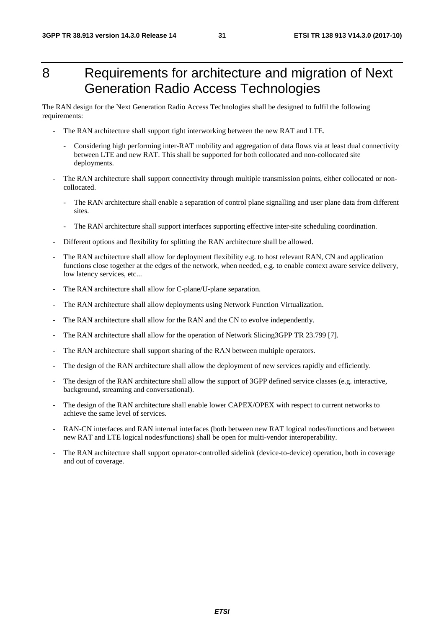# 8 Requirements for architecture and migration of Next Generation Radio Access Technologies

The RAN design for the Next Generation Radio Access Technologies shall be designed to fulfil the following requirements:

- The RAN architecture shall support tight interworking between the new RAT and LTE.
	- Considering high performing inter-RAT mobility and aggregation of data flows via at least dual connectivity between LTE and new RAT. This shall be supported for both collocated and non-collocated site deployments.
- The RAN architecture shall support connectivity through multiple transmission points, either collocated or noncollocated.
	- The RAN architecture shall enable a separation of control plane signalling and user plane data from different sites.
	- The RAN architecture shall support interfaces supporting effective inter-site scheduling coordination.
- Different options and flexibility for splitting the RAN architecture shall be allowed.
- The RAN architecture shall allow for deployment flexibility e.g. to host relevant RAN, CN and application functions close together at the edges of the network, when needed, e.g. to enable context aware service delivery, low latency services, etc...
- The RAN architecture shall allow for C-plane/U-plane separation.
- The RAN architecture shall allow deployments using Network Function Virtualization.
- The RAN architecture shall allow for the RAN and the CN to evolve independently.
- The RAN architecture shall allow for the operation of Network Slicing3GPP TR 23.799 [7].
- The RAN architecture shall support sharing of the RAN between multiple operators.
- The design of the RAN architecture shall allow the deployment of new services rapidly and efficiently.
- The design of the RAN architecture shall allow the support of 3GPP defined service classes (e.g. interactive, background, streaming and conversational).
- The design of the RAN architecture shall enable lower CAPEX/OPEX with respect to current networks to achieve the same level of services.
- RAN-CN interfaces and RAN internal interfaces (both between new RAT logical nodes/functions and between new RAT and LTE logical nodes/functions) shall be open for multi-vendor interoperability.
- The RAN architecture shall support operator-controlled sidelink (device-to-device) operation, both in coverage and out of coverage.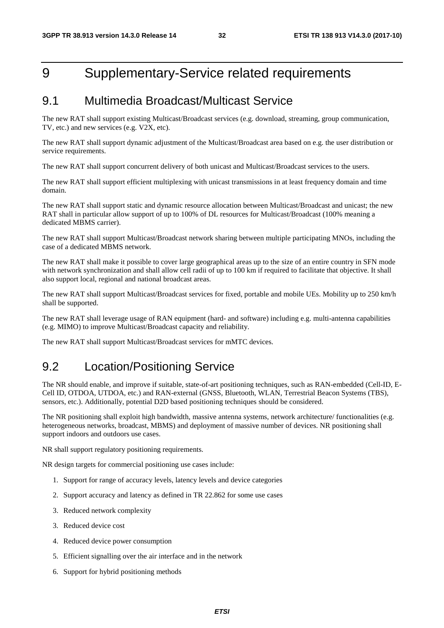# 9 Supplementary-Service related requirements

### 9.1 Multimedia Broadcast/Multicast Service

The new RAT shall support existing Multicast/Broadcast services (e.g. download, streaming, group communication, TV, etc.) and new services (e.g. V2X, etc).

The new RAT shall support dynamic adjustment of the Multicast/Broadcast area based on e.g. the user distribution or service requirements.

The new RAT shall support concurrent delivery of both unicast and Multicast/Broadcast services to the users.

The new RAT shall support efficient multiplexing with unicast transmissions in at least frequency domain and time domain.

The new RAT shall support static and dynamic resource allocation between Multicast/Broadcast and unicast; the new RAT shall in particular allow support of up to 100% of DL resources for Multicast/Broadcast (100% meaning a dedicated MBMS carrier).

The new RAT shall support Multicast/Broadcast network sharing between multiple participating MNOs, including the case of a dedicated MBMS network.

The new RAT shall make it possible to cover large geographical areas up to the size of an entire country in SFN mode with network synchronization and shall allow cell radii of up to 100 km if required to facilitate that objective. It shall also support local, regional and national broadcast areas.

The new RAT shall support Multicast/Broadcast services for fixed, portable and mobile UEs. Mobility up to 250 km/h shall be supported.

The new RAT shall leverage usage of RAN equipment (hard- and software) including e.g. multi-antenna capabilities (e.g. MIMO) to improve Multicast/Broadcast capacity and reliability.

The new RAT shall support Multicast/Broadcast services for mMTC devices.

### 9.2 Location/Positioning Service

The NR should enable, and improve if suitable, state-of-art positioning techniques, such as RAN-embedded (Cell-ID, E-Cell ID, OTDOA, UTDOA, etc.) and RAN-external (GNSS, Bluetooth, WLAN, Terrestrial Beacon Systems (TBS), sensors, etc.). Additionally, potential D2D based positioning techniques should be considered.

The NR positioning shall exploit high bandwidth, massive antenna systems, network architecture/ functionalities (e.g. heterogeneous networks, broadcast, MBMS) and deployment of massive number of devices. NR positioning shall support indoors and outdoors use cases.

NR shall support regulatory positioning requirements.

NR design targets for commercial positioning use cases include:

- 1. Support for range of accuracy levels, latency levels and device categories
- 2. Support accuracy and latency as defined in TR 22.862 for some use cases
- 3. Reduced network complexity
- 3. Reduced device cost
- 4. Reduced device power consumption
- 5. Efficient signalling over the air interface and in the network
- 6. Support for hybrid positioning methods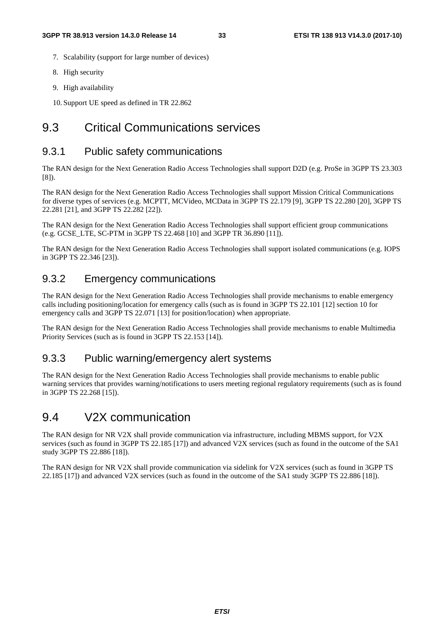- 7. Scalability (support for large number of devices)
- 8. High security
- 9. High availability
- 10. Support UE speed as defined in TR 22.862

### 9.3 Critical Communications services

### 9.3.1 Public safety communications

The RAN design for the Next Generation Radio Access Technologies shall support D2D (e.g. ProSe in 3GPP TS 23.303 [8]).

The RAN design for the Next Generation Radio Access Technologies shall support Mission Critical Communications for diverse types of services (e.g. MCPTT, MCVideo, MCData in 3GPP TS 22.179 [9], 3GPP TS 22.280 [20], 3GPP TS 22.281 [21], and 3GPP TS 22.282 [22]).

The RAN design for the Next Generation Radio Access Technologies shall support efficient group communications (e.g. GCSE\_LTE, SC-PTM in 3GPP TS 22.468 [10] and 3GPP TR 36.890 [11]).

The RAN design for the Next Generation Radio Access Technologies shall support isolated communications (e.g. IOPS in 3GPP TS 22.346 [23]).

### 9.3.2 Emergency communications

The RAN design for the Next Generation Radio Access Technologies shall provide mechanisms to enable emergency calls including positioning/location for emergency calls (such as is found in 3GPP TS 22.101 [12] section 10 for emergency calls and 3GPP TS 22.071 [13] for position/location) when appropriate.

The RAN design for the Next Generation Radio Access Technologies shall provide mechanisms to enable Multimedia Priority Services (such as is found in 3GPP TS 22.153 [14]).

### 9.3.3 Public warning/emergency alert systems

The RAN design for the Next Generation Radio Access Technologies shall provide mechanisms to enable public warning services that provides warning/notifications to users meeting regional regulatory requirements (such as is found in 3GPP TS 22.268 [15]).

### 9.4 V2X communication

The RAN design for NR V2X shall provide communication via infrastructure, including MBMS support, for V2X services (such as found in 3GPP TS 22.185 [17]) and advanced V2X services (such as found in the outcome of the SA1 study 3GPP TS 22.886 [18]).

The RAN design for NR V2X shall provide communication via sidelink for V2X services (such as found in 3GPP TS 22.185 [17]) and advanced V2X services (such as found in the outcome of the SA1 study 3GPP TS 22.886 [18]).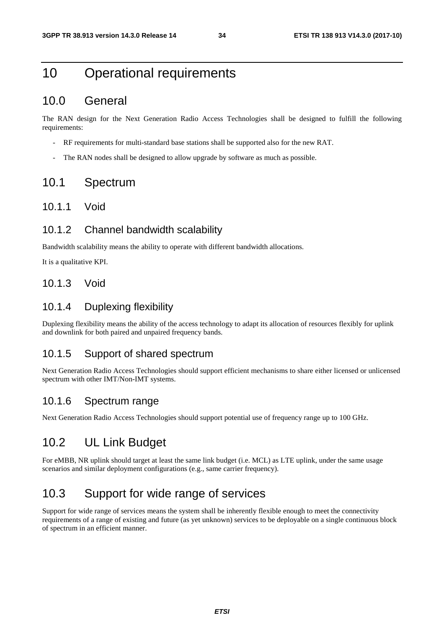# 10 Operational requirements

### 10.0 General

The RAN design for the Next Generation Radio Access Technologies shall be designed to fulfill the following requirements:

- RF requirements for multi-standard base stations shall be supported also for the new RAT.
- The RAN nodes shall be designed to allow upgrade by software as much as possible.

### 10.1 Spectrum

#### 10.1.1 Void

#### 10.1.2 Channel bandwidth scalability

Bandwidth scalability means the ability to operate with different bandwidth allocations.

It is a qualitative KPI.

#### 10.1.3 Void

### 10.1.4 Duplexing flexibility

Duplexing flexibility means the ability of the access technology to adapt its allocation of resources flexibly for uplink and downlink for both paired and unpaired frequency bands.

#### 10.1.5 Support of shared spectrum

Next Generation Radio Access Technologies should support efficient mechanisms to share either licensed or unlicensed spectrum with other IMT/Non-IMT systems.

#### 10.1.6 Spectrum range

Next Generation Radio Access Technologies should support potential use of frequency range up to 100 GHz.

### 10.2 UL Link Budget

For eMBB, NR uplink should target at least the same link budget (i.e. MCL) as LTE uplink, under the same usage scenarios and similar deployment configurations (e.g., same carrier frequency).

### 10.3 Support for wide range of services

Support for wide range of services means the system shall be inherently flexible enough to meet the connectivity requirements of a range of existing and future (as yet unknown) services to be deployable on a single continuous block of spectrum in an efficient manner.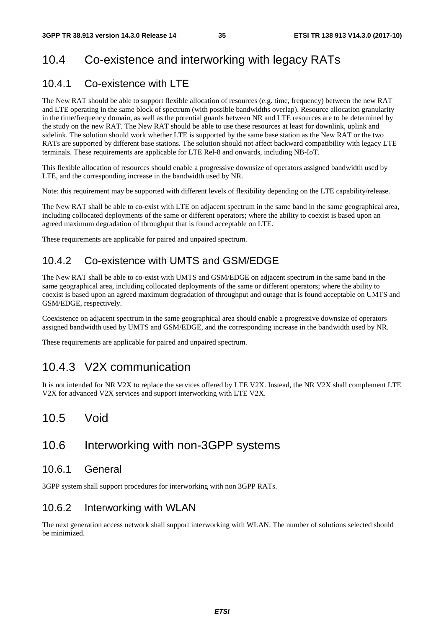# 10.4 Co-existence and interworking with legacy RATs

### 10.4.1 Co-existence with LTE

The New RAT should be able to support flexible allocation of resources (e.g. time, frequency) between the new RAT and LTE operating in the same block of spectrum (with possible bandwidths overlap). Resource allocation granularity in the time/frequency domain, as well as the potential guards between NR and LTE resources are to be determined by the study on the new RAT. The New RAT should be able to use these resources at least for downlink, uplink and sidelink. The solution should work whether LTE is supported by the same base station as the New RAT or the two RATs are supported by different base stations. The solution should not affect backward compatibility with legacy LTE terminals. These requirements are applicable for LTE Rel-8 and onwards, including NB-IoT.

This flexible allocation of resources should enable a progressive downsize of operators assigned bandwidth used by LTE, and the corresponding increase in the bandwidth used by NR.

Note: this requirement may be supported with different levels of flexibility depending on the LTE capability/release.

The New RAT shall be able to co-exist with LTE on adjacent spectrum in the same band in the same geographical area, including collocated deployments of the same or different operators; where the ability to coexist is based upon an agreed maximum degradation of throughput that is found acceptable on LTE.

These requirements are applicable for paired and unpaired spectrum.

### 10.4.2 Co-existence with UMTS and GSM/EDGE

The New RAT shall be able to co-exist with UMTS and GSM/EDGE on adjacent spectrum in the same band in the same geographical area, including collocated deployments of the same or different operators; where the ability to coexist is based upon an agreed maximum degradation of throughput and outage that is found acceptable on UMTS and GSM/EDGE, respectively.

Coexistence on adjacent spectrum in the same geographical area should enable a progressive downsize of operators assigned bandwidth used by UMTS and GSM/EDGE, and the corresponding increase in the bandwidth used by NR.

These requirements are applicable for paired and unpaired spectrum.

### 10.4.3 V2X communication

It is not intended for NR V2X to replace the services offered by LTE V2X. Instead, the NR V2X shall complement LTE V2X for advanced V2X services and support interworking with LTE V2X.

### 10.5 Void

### 10.6 Interworking with non-3GPP systems

#### 10.6.1 General

3GPP system shall support procedures for interworking with non 3GPP RATs.

### 10.6.2 Interworking with WLAN

The next generation access network shall support interworking with WLAN. The number of solutions selected should be minimized.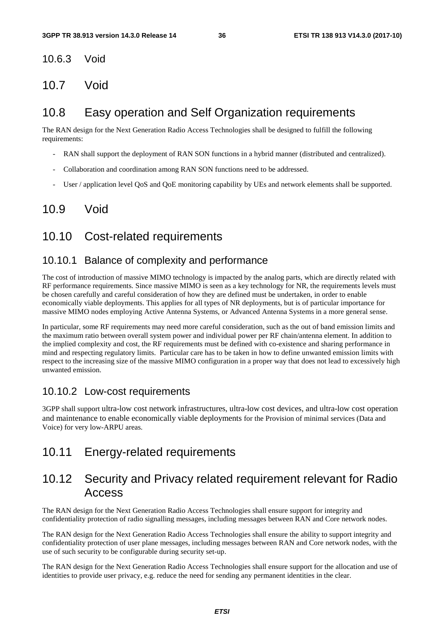10.6.3 Void

10.7 Void

### 10.8 Easy operation and Self Organization requirements

The RAN design for the Next Generation Radio Access Technologies shall be designed to fulfill the following requirements:

- RAN shall support the deployment of RAN SON functions in a hybrid manner (distributed and centralized).
- Collaboration and coordination among RAN SON functions need to be addressed.
- User / application level QoS and QoE monitoring capability by UEs and network elements shall be supported.

### 10.9 Void

### 10.10 Cost-related requirements

### 10.10.1 Balance of complexity and performance

The cost of introduction of massive MIMO technology is impacted by the analog parts, which are directly related with RF performance requirements. Since massive MIMO is seen as a key technology for NR, the requirements levels must be chosen carefully and careful consideration of how they are defined must be undertaken, in order to enable economically viable deployments. This applies for all types of NR deployments, but is of particular importance for massive MIMO nodes employing Active Antenna Systems, or Advanced Antenna Systems in a more general sense.

In particular, some RF requirements may need more careful consideration, such as the out of band emission limits and the maximum ratio between overall system power and individual power per RF chain/antenna element. In addition to the implied complexity and cost, the RF requirements must be defined with co-existence and sharing performance in mind and respecting regulatory limits. Particular care has to be taken in how to define unwanted emission limits with respect to the increasing size of the massive MIMO configuration in a proper way that does not lead to excessively high unwanted emission.

### 10.10.2 Low-cost requirements

3GPP shall support ultra-low cost network infrastructures, ultra-low cost devices, and ultra-low cost operation and maintenance to enable economically viable deployments for the Provision of minimal services (Data and Voice) for very low-ARPU areas.

### 10.11 Energy-related requirements

### 10.12 Security and Privacy related requirement relevant for Radio Access

The RAN design for the Next Generation Radio Access Technologies shall ensure support for integrity and confidentiality protection of radio signalling messages, including messages between RAN and Core network nodes.

The RAN design for the Next Generation Radio Access Technologies shall ensure the ability to support integrity and confidentiality protection of user plane messages, including messages between RAN and Core network nodes, with the use of such security to be configurable during security set-up.

The RAN design for the Next Generation Radio Access Technologies shall ensure support for the allocation and use of identities to provide user privacy, e.g. reduce the need for sending any permanent identities in the clear.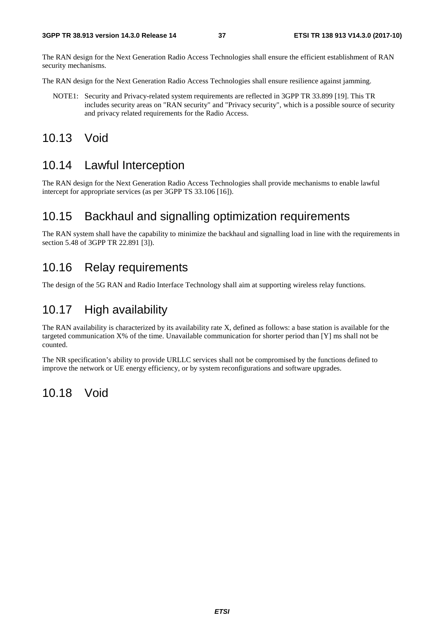The RAN design for the Next Generation Radio Access Technologies shall ensure the efficient establishment of RAN security mechanisms.

The RAN design for the Next Generation Radio Access Technologies shall ensure resilience against jamming.

- NOTE1: Security and Privacy-related system requirements are reflected in 3GPP TR 33.899 [19]. This TR includes security areas on "RAN security" and "Privacy security", which is a possible source of security and privacy related requirements for the Radio Access.
- 10.13 Void

### 10.14 Lawful Interception

The RAN design for the Next Generation Radio Access Technologies shall provide mechanisms to enable lawful intercept for appropriate services (as per 3GPP TS 33.106 [16]).

### 10.15 Backhaul and signalling optimization requirements

The RAN system shall have the capability to minimize the backhaul and signalling load in line with the requirements in section 5.48 of 3GPP TR 22.891 [3]).

### 10.16 Relay requirements

The design of the 5G RAN and Radio Interface Technology shall aim at supporting wireless relay functions.

### 10.17 High availability

The RAN availability is characterized by its availability rate X, defined as follows: a base station is available for the targeted communication X% of the time. Unavailable communication for shorter period than [Y] ms shall not be counted.

The NR specification's ability to provide URLLC services shall not be compromised by the functions defined to improve the network or UE energy efficiency, or by system reconfigurations and software upgrades.

### 10.18 Void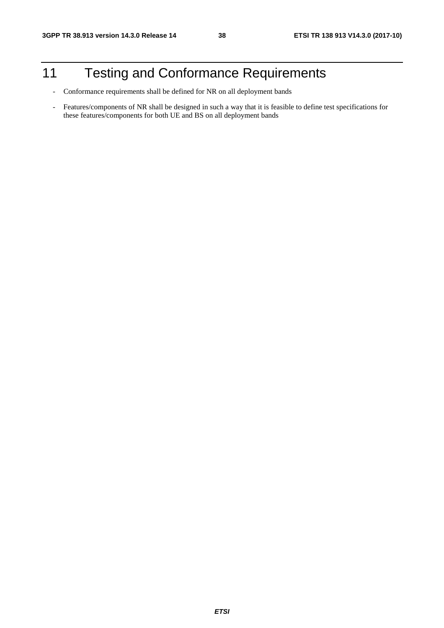# 11 Testing and Conformance Requirements

- Conformance requirements shall be defined for NR on all deployment bands
- Features/components of NR shall be designed in such a way that it is feasible to define test specifications for these features/components for both UE and BS on all deployment bands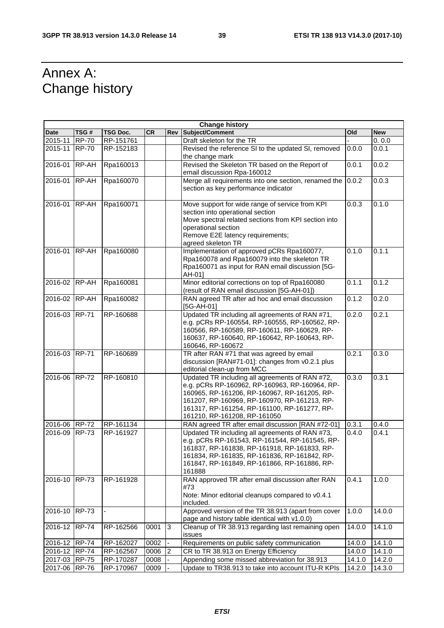# Annex A: Change history

| <b>Change history</b> |               |           |           |                |                                                                                                                                                                                                                                                                                   |        |            |
|-----------------------|---------------|-----------|-----------|----------------|-----------------------------------------------------------------------------------------------------------------------------------------------------------------------------------------------------------------------------------------------------------------------------------|--------|------------|
| Date                  | TSG#          | TSG Doc.  | <b>CR</b> | Rev            | Subject/Comment                                                                                                                                                                                                                                                                   | Old    | <b>New</b> |
| 2015-11               | <b>RP-70</b>  | RP-151761 |           |                | Draft skeleton for the TR                                                                                                                                                                                                                                                         |        | 0.0.0      |
| 2015-11               | $IRP-70$      | RP-152183 |           |                | Revised the reference SI to the updated SI, removed                                                                                                                                                                                                                               | 0.0.0  | 0.0.1      |
|                       |               |           |           |                | the change mark                                                                                                                                                                                                                                                                   | 0.0.1  |            |
| 2016-01               | RP-AH         | Rpa160013 |           |                | Revised the Skeleton TR based on the Report of<br>email discussion Rpa-160012                                                                                                                                                                                                     |        | 0.0.2      |
| 2016-01               | RP-AH         | Rpa160070 |           |                | Merge all requirements into one section, renamed the<br>section as key performance indicator                                                                                                                                                                                      | 0.0.2  | 0.0.3      |
| 2016-01               | RP-AH         | Rpa160071 |           |                | Move support for wide range of service from KPI<br>section into operational section<br>Move spectral related sections from KPI section into<br>operational section<br>Remove E2E latency requirements;<br>agreed skeleton TR                                                      | 0.0.3  | 0.1.0      |
| 2016-01 RP-AH         |               | Rpa160080 |           |                | Implementation of approved pCRs Rpa160077,<br>Rpa160078 and Rpa160079 into the skeleton TR<br>Rpa160071 as input for RAN email discussion [5G-<br>AH-01]                                                                                                                          | 0.1.0  | 0.1.1      |
| 2016-02 RP-AH         |               | Rpa160081 |           |                | Minor editorial corrections on top of Rpa160080<br>(result of RAN email discussion [5G-AH-01])                                                                                                                                                                                    | 0.1.1  | 0.1.2      |
| 2016-02               | RP-AH         | Rpa160082 |           |                | RAN agreed TR after ad hoc and email discussion<br>[5G-AH-01]                                                                                                                                                                                                                     | 0.1.2  | 0.2.0      |
| 2016-03 RP-71         |               | RP-160688 |           |                | Updated TR including all agreements of RAN #71,<br>e.g. pCRs RP-160554, RP-160555, RP-160562, RP-<br>160566, RP-160589, RP-160611, RP-160629, RP-<br>160637, RP-160640, RP-160642, RP-160643, RP-<br>160646, RP-160672                                                            | 0.2.0  | 0.2.1      |
| 2016-03               | <b>IRP-71</b> | RP-160689 |           |                | TR after RAN #71 that was agreed by email<br>discussion [RAN#71-01]: changes from v0.2.1 plus<br>editorial clean-up from MCC                                                                                                                                                      | 0.2.1  | 0.3.0      |
| 2016-06 RP-72         |               | RP-160810 |           |                | Updated TR including all agreements of RAN #72,<br>e.g. pCRs RP-160962, RP-160963, RP-160964, RP-<br>160965, RP-161206, RP-160967, RP-161205, RP-<br>161207, RP-160969, RP-160970, RP-161213, RP-<br>161317, RP-161254, RP-161100, RP-161277, RP-<br>161210, RP-161208, RP-161050 | 0.3.0  | 0.3.1      |
| 2016-06 RP-72         |               | RP-161134 |           |                | RAN agreed TR after email discussion [RAN #72-01]                                                                                                                                                                                                                                 | 0.3.1  | 0.4.0      |
| 2016-09               | <b>RP-73</b>  | RP-161927 |           |                | Updated TR including all agreements of RAN #73,<br>e.g. pCRs RP-161543, RP-161544, RP-161545, RP-<br>161837, RP-161838, RP-161918, RP-161833, RP-<br>161834, RP-161835, RP-161836, RP-161842, RP-<br>161847, RP-161849, RP-161866, RP-161886, RP-<br>161888                       | 0.4.0  | 0.4.1      |
| 2016-10               | <b>RP-73</b>  | RP-161928 |           |                | RAN approved TR after email discussion after RAN<br>#73<br>Note: Minor editorial cleanups compared to v0.4.1<br>included.                                                                                                                                                         | 0.4.1  | 1.0.0      |
| 2016-10               | <b>RP-73</b>  |           |           |                | Approved version of the TR 38.913 (apart from cover<br>page and history table identical with v1.0.0)                                                                                                                                                                              | 1.0.0  | 14.0.0     |
| 2016-12               | <b>RP-74</b>  | RP-162566 | 0001      | 3              | Cleanup of TR 38.913 regarding last remaining open<br>issues                                                                                                                                                                                                                      | 14.0.0 | 14.1.0     |
| 2016-12 RP-74         |               | RP-162027 | 0002      |                | Requirements on public safety communication                                                                                                                                                                                                                                       | 14.0.0 | 14.1.0     |
| 2016-12 RP-74         |               | RP-162567 | 0006      | $\overline{2}$ | CR to TR 38.913 on Energy Efficiency                                                                                                                                                                                                                                              | 14.0.0 | 14.1.0     |
| 2017-03 RP-75         |               | RP-170287 | 0008      |                | Appending some missed abbreviation for 38.913                                                                                                                                                                                                                                     | 14.1.0 | 14.2.0     |
| 2017-06 RP-76         |               | RP-170967 | 0009      |                | Update to TR38.913 to take into account ITU-R KPIs                                                                                                                                                                                                                                | 14.2.0 | 14.3.0     |